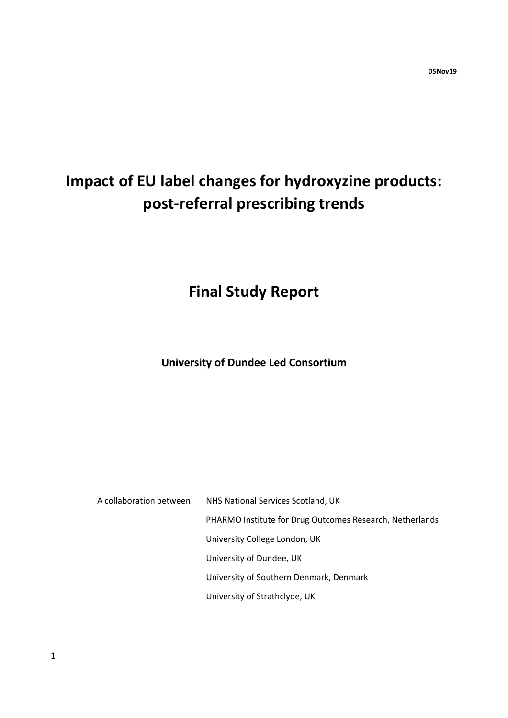# **Impact of EU label changes for hydroxyzine products: post-referral prescribing trends**

## **Final Study Report**

### **University of Dundee Led Consortium**

A collaboration between: NHS National Services Scotland, UK PHARMO Institute for Drug Outcomes Research, Netherlands University College London, UK University of Dundee, UK University of Southern Denmark, Denmark University of Strathclyde, UK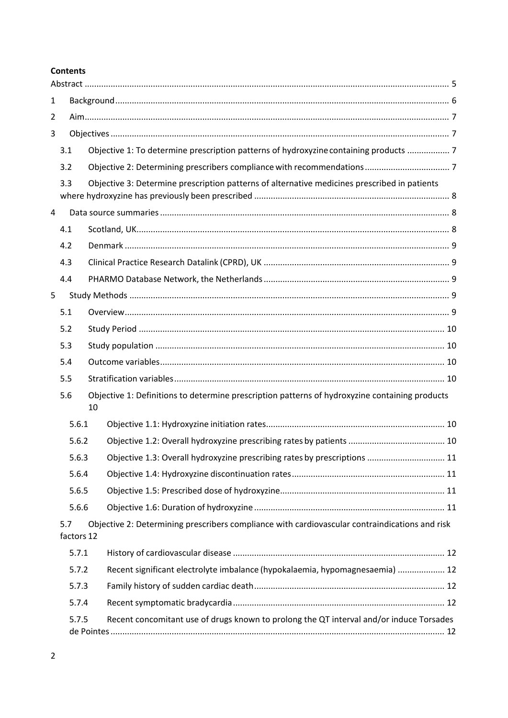#### **Contents**

| $\mathbf{1}$   |                   |    |                                                                                                |  |  |  |
|----------------|-------------------|----|------------------------------------------------------------------------------------------------|--|--|--|
| $\overline{2}$ |                   |    |                                                                                                |  |  |  |
| 3              |                   |    |                                                                                                |  |  |  |
|                | 3.1               |    | Objective 1: To determine prescription patterns of hydroxyzine containing products  7          |  |  |  |
|                | 3.2               |    |                                                                                                |  |  |  |
|                | 3.3               |    | Objective 3: Determine prescription patterns of alternative medicines prescribed in patients   |  |  |  |
| 4              |                   |    |                                                                                                |  |  |  |
|                | 4.1               |    |                                                                                                |  |  |  |
|                | 4.2               |    |                                                                                                |  |  |  |
|                | 4.3               |    |                                                                                                |  |  |  |
|                | 4.4               |    |                                                                                                |  |  |  |
| 5              |                   |    |                                                                                                |  |  |  |
|                | 5.1               |    |                                                                                                |  |  |  |
|                | 5.2               |    |                                                                                                |  |  |  |
|                | 5.3               |    |                                                                                                |  |  |  |
|                | 5.4               |    |                                                                                                |  |  |  |
|                | 5.5               |    |                                                                                                |  |  |  |
|                | 5.6               | 10 | Objective 1: Definitions to determine prescription patterns of hydroxyzine containing products |  |  |  |
|                | 5.6.1             |    |                                                                                                |  |  |  |
|                | 5.6.2             |    |                                                                                                |  |  |  |
|                | 5.6.3             |    | Objective 1.3: Overall hydroxyzine prescribing rates by prescriptions  11                      |  |  |  |
|                | 5.6.4             |    |                                                                                                |  |  |  |
|                | 5.6.5             |    |                                                                                                |  |  |  |
|                | 5.6.6             |    |                                                                                                |  |  |  |
|                | 5.7<br>factors 12 |    | Objective 2: Determining prescribers compliance with cardiovascular contraindications and risk |  |  |  |
|                | 5.7.1             |    |                                                                                                |  |  |  |
|                | 5.7.2             |    | Recent significant electrolyte imbalance (hypokalaemia, hypomagnesaemia)  12                   |  |  |  |
|                | 5.7.3             |    |                                                                                                |  |  |  |
|                | 5.7.4             |    |                                                                                                |  |  |  |
|                | 5.7.5             |    | Recent concomitant use of drugs known to prolong the QT interval and/or induce Torsades        |  |  |  |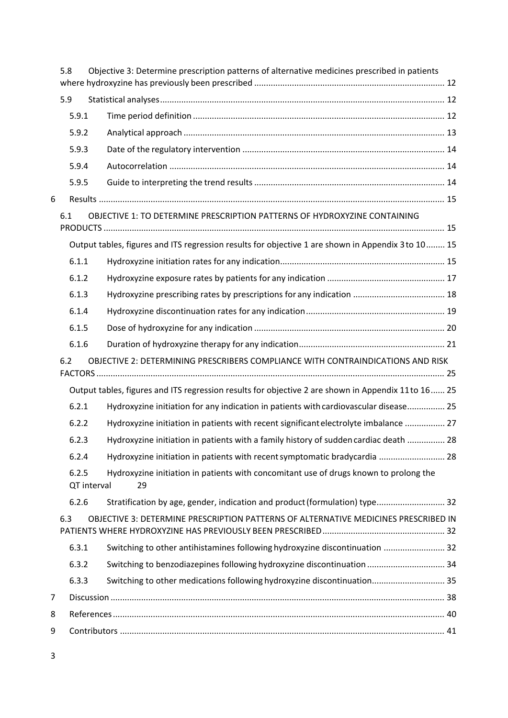|   | 5.8                  | Objective 3: Determine prescription patterns of alternative medicines prescribed in patients        |  |
|---|----------------------|-----------------------------------------------------------------------------------------------------|--|
|   | 5.9                  |                                                                                                     |  |
|   | 5.9.1                |                                                                                                     |  |
|   | 5.9.2                |                                                                                                     |  |
|   | 5.9.3                |                                                                                                     |  |
|   | 5.9.4                |                                                                                                     |  |
|   | 5.9.5                |                                                                                                     |  |
| 6 |                      |                                                                                                     |  |
|   | 6.1                  | OBJECTIVE 1: TO DETERMINE PRESCRIPTION PATTERNS OF HYDROXYZINE CONTAINING                           |  |
|   |                      | Output tables, figures and ITS regression results for objective 1 are shown in Appendix 3 to 10 15  |  |
|   | 6.1.1                |                                                                                                     |  |
|   | 6.1.2                |                                                                                                     |  |
|   | 6.1.3                |                                                                                                     |  |
|   | 6.1.4                |                                                                                                     |  |
|   | 6.1.5                |                                                                                                     |  |
|   | 6.1.6                |                                                                                                     |  |
|   | 6.2                  | OBJECTIVE 2: DETERMINING PRESCRIBERS COMPLIANCE WITH CONTRAINDICATIONS AND RISK                     |  |
|   |                      | Output tables, figures and ITS regression results for objective 2 are shown in Appendix 11 to 16 25 |  |
|   | 6.2.1                | Hydroxyzine initiation for any indication in patients with cardiovascular disease 25                |  |
|   | 6.2.2                | Hydroxyzine initiation in patients with recent significant electrolyte imbalance  27                |  |
|   | 6.2.3                | Hydroxyzine initiation in patients with a family history of sudden cardiac death  28                |  |
|   | 6.2.4                | Hydroxyzine initiation in patients with recent symptomatic bradycardia  28                          |  |
|   | 6.2.5<br>QT interval | Hydroxyzine initiation in patients with concomitant use of drugs known to prolong the<br>29         |  |
|   | 6.2.6                | Stratification by age, gender, indication and product (formulation) type 32                         |  |
|   | 6.3                  | OBJECTIVE 3: DETERMINE PRESCRIPTION PATTERNS OF ALTERNATIVE MEDICINES PRESCRIBED IN                 |  |
|   | 6.3.1                | Switching to other antihistamines following hydroxyzine discontinuation  32                         |  |
|   | 6.3.2                | Switching to benzodiazepines following hydroxyzine discontinuation  34                              |  |
|   | 6.3.3                | Switching to other medications following hydroxyzine discontinuation 35                             |  |
| 7 |                      |                                                                                                     |  |
| 8 |                      |                                                                                                     |  |
| 9 |                      |                                                                                                     |  |
|   |                      |                                                                                                     |  |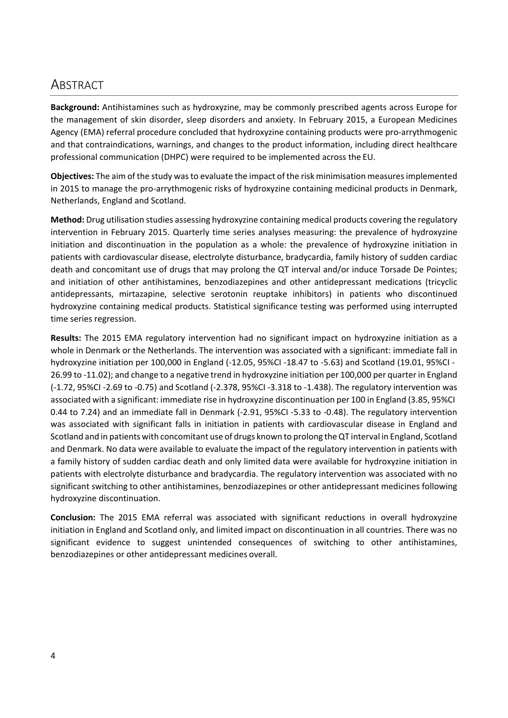### <span id="page-3-0"></span>**ABSTRACT**

**Background:** Antihistamines such as hydroxyzine, may be commonly prescribed agents across Europe for the management of skin disorder, sleep disorders and anxiety. In February 2015, a European Medicines Agency (EMA) referral procedure concluded that hydroxyzine containing products were pro-arrythmogenic and that contraindications, warnings, and changes to the product information, including direct healthcare professional communication (DHPC) were required to be implemented across the EU.

**Objectives:** The aim of the study was to evaluate the impact of the risk minimisation measures implemented in 2015 to manage the pro-arrythmogenic risks of hydroxyzine containing medicinal products in Denmark, Netherlands, England and Scotland.

**Method:** Drug utilisation studies assessing hydroxyzine containing medical products covering the regulatory intervention in February 2015. Quarterly time series analyses measuring: the prevalence of hydroxyzine initiation and discontinuation in the population as a whole: the prevalence of hydroxyzine initiation in patients with cardiovascular disease, electrolyte disturbance, bradycardia, family history of sudden cardiac death and concomitant use of drugs that may prolong the QT interval and/or induce Torsade De Pointes; and initiation of other antihistamines, benzodiazepines and other antidepressant medications (tricyclic antidepressants, mirtazapine, selective serotonin reuptake inhibitors) in patients who discontinued hydroxyzine containing medical products. Statistical significance testing was performed using interrupted time series regression.

**Results:** The 2015 EMA regulatory intervention had no significant impact on hydroxyzine initiation as a whole in Denmark or the Netherlands. The intervention was associated with a significant: immediate fall in hydroxyzine initiation per 100,000 in England (-12.05, 95%CI -18.47 to -5.63) and Scotland (19.01, 95%CI - 26.99 to -11.02); and change to a negative trend in hydroxyzine initiation per 100,000 per quarter in England (-1.72, 95%CI -2.69 to -0.75) and Scotland (-2.378, 95%CI -3.318 to -1.438). The regulatory intervention was associated with a significant: immediate rise in hydroxyzine discontinuation per 100 in England (3.85, 95%CI 0.44 to 7.24) and an immediate fall in Denmark (-2.91, 95%CI -5.33 to -0.48). The regulatory intervention was associated with significant falls in initiation in patients with cardiovascular disease in England and Scotland and in patients with concomitant use of drugs known to prolong theQT interval in England, Scotland and Denmark. No data were available to evaluate the impact of the regulatory intervention in patients with a family history of sudden cardiac death and only limited data were available for hydroxyzine initiation in patients with electrolyte disturbance and bradycardia. The regulatory intervention was associated with no significant switching to other antihistamines, benzodiazepines or other antidepressant medicines following hydroxyzine discontinuation.

**Conclusion:** The 2015 EMA referral was associated with significant reductions in overall hydroxyzine initiation in England and Scotland only, and limited impact on discontinuation in all countries. There was no significant evidence to suggest unintended consequences of switching to other antihistamines, benzodiazepines or other antidepressant medicines overall.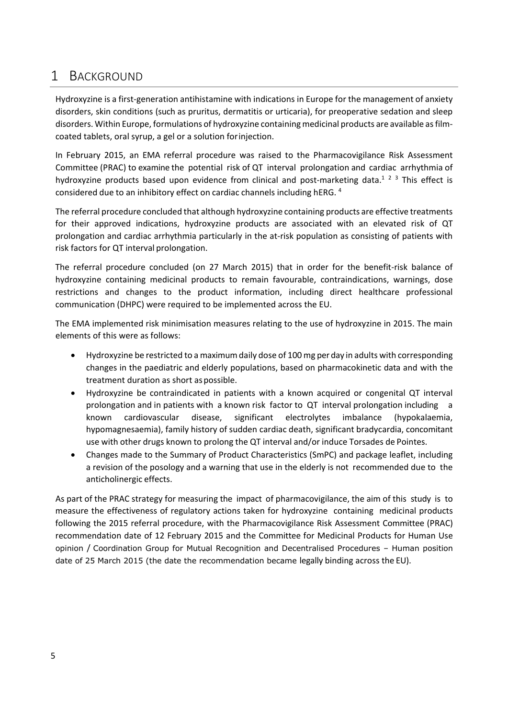## <span id="page-4-0"></span>1 BACKGROUND

Hydroxyzine is a first-generation antihistamine with indications in Europe for the management of anxiety disorders, skin conditions (such as pruritus, dermatitis or urticaria), for preoperative sedation and sleep disorders. Within Europe, formulations of hydroxyzine containing medicinal products are available asfilmcoated tablets, oral syrup, a gel or a solution forinjection.

In February 2015, an EMA referral procedure was raised to the Pharmacovigilance Risk Assessment Committee (PRAC) to examine the potential risk of QT interval prolongation and cardiac arrhythmia of hydroxyzine products based upon evidence from clinical and post-marketing data.<sup>1</sup> <sup>2</sup> 3 This effect is considered due to an inhibitory effect on cardiac channels including hERG. <sup>4</sup>

The referral procedure concluded that although hydroxyzine containing products are effective treatments for their approved indications, hydroxyzine products are associated with an elevated risk of QT prolongation and cardiac arrhythmia particularly in the at-risk population as consisting of patients with risk factors for QT interval prolongation.

The referral procedure concluded (on 27 March 2015) that in order for the benefit-risk balance of hydroxyzine containing medicinal products to remain favourable, contraindications, warnings, dose restrictions and changes to the product information, including direct healthcare professional communication (DHPC) were required to be implemented across the EU.

The EMA implemented risk minimisation measures relating to the use of hydroxyzine in 2015. The main elements of this were as follows:

- Hydroxyzine be restricted to a maximum daily dose of 100 mg per day in adults with corresponding changes in the paediatric and elderly populations, based on pharmacokinetic data and with the treatment duration as short as possible.
- Hydroxyzine be contraindicated in patients with a known acquired or congenital QT interval prolongation and in patients with a known risk factor to QT interval prolongation including a known cardiovascular disease, significant electrolytes imbalance (hypokalaemia, hypomagnesaemia), family history of sudden cardiac death, significant bradycardia, concomitant use with other drugs known to prolong the QT interval and/or induce Torsades de Pointes.
- Changes made to the Summary of Product Characteristics (SmPC) and package leaflet, including a revision of the posology and a warning that use in the elderly is not recommended due to the anticholinergic effects.

As part of the PRAC strategy for measuring the impact of pharmacovigilance, the aim of this study is to measure the effectiveness of regulatory actions taken for hydroxyzine containing medicinal products following the 2015 referral procedure, with the Pharmacovigilance Risk Assessment Committee (PRAC) recommendation date of 12 February 2015 and the Committee for Medicinal Products for Human Use opinion / Coordination Group for Mutual Recognition and Decentralised Procedures – Human position date of 25 March 2015 (the date the recommendation became legally binding across the EU).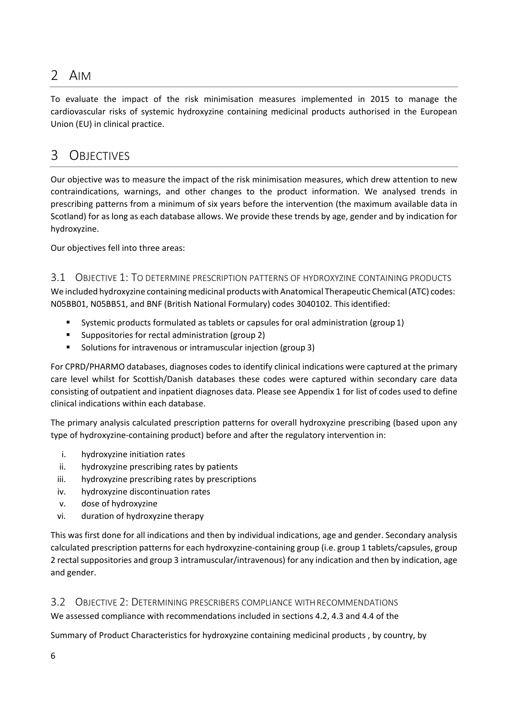## <span id="page-5-0"></span>2 AIM

To evaluate the impact of the risk minimisation measures implemented in 2015 to manage the cardiovascular risks of systemic hydroxyzine containing medicinal products authorised in the European Union (EU) in clinical practice.

## <span id="page-5-1"></span>3 OBJECTIVES

Our objective was to measure the impact of the risk minimisation measures, which drew attention to new contraindications, warnings, and other changes to the product information. We analysed trends in prescribing patterns from a minimum of six years before the intervention (the maximum available data in Scotland) for as long as each database allows. We provide these trends by age, gender and by indication for hydroxyzine.

Our objectives fell into three areas:

#### <span id="page-5-2"></span>3.1 OBJECTIVE 1: TO DETERMINE PRESCRIPTION PATTERNS OF HYDROXYZINE CONTAINING PRODUCTS

We included hydroxyzine containing medicinal products with Anatomical Therapeutic Chemical (ATC) codes: N05BB01, N05BB51, and BNF (British National Formulary) codes 3040102. Thisidentified:

- **Systemic products formulated as tablets or capsules for oral administration (group 1)**
- Suppositories for rectal administration (group 2)
- Solutions for intravenous or intramuscular injection (group 3)

For CPRD/PHARMO databases, diagnoses codesto identify clinical indications were captured at the primary care level whilst for Scottish/Danish databases these codes were captured within secondary care data consisting of outpatient and inpatient diagnoses data. Please see Appendix 1 for list of codes used to define clinical indications within each database.

The primary analysis calculated prescription patterns for overall hydroxyzine prescribing (based upon any type of hydroxyzine-containing product) before and after the regulatory intervention in:

- i. hydroxyzine initiation rates
- ii. hydroxyzine prescribing rates by patients
- iii. hydroxyzine prescribing rates by prescriptions
- iv. hydroxyzine discontinuation rates
- v. dose of hydroxyzine
- vi. duration of hydroxyzine therapy

This was first done for all indications and then by individual indications, age and gender. Secondary analysis calculated prescription patterns for each hydroxyzine-containing group (i.e. group 1 tablets/capsules, group 2 rectalsuppositories and group 3 intramuscular/intravenous) for any indication and then by indication, age and gender.

#### <span id="page-5-3"></span>3.2 OBJECTIVE 2: DETERMINING PRESCRIBERS COMPLIANCE WITHRECOMMENDATIONS

We assessed compliance with recommendations included in sections 4.2, 4.3 and 4.4 of the

Summary of Product Characteristics for hydroxyzine containing medicinal products , by country, by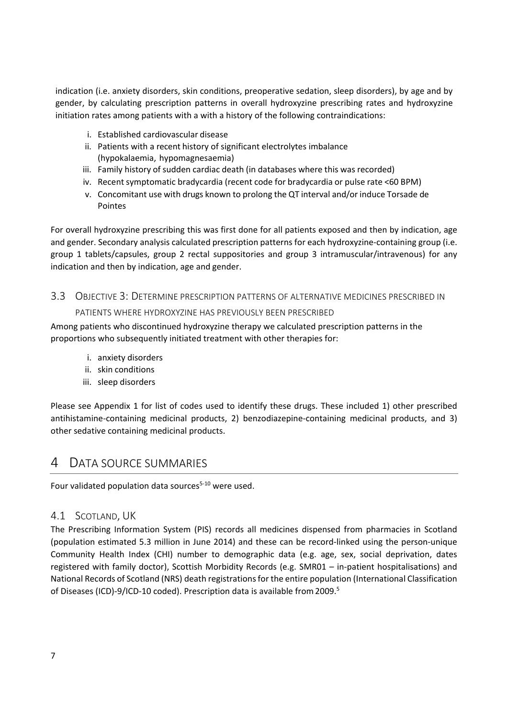indication (i.e. anxiety disorders, skin conditions, preoperative sedation, sleep disorders), by age and by gender, by calculating prescription patterns in overall hydroxyzine prescribing rates and hydroxyzine initiation rates among patients with a with a history of the following contraindications:

- i. Established cardiovascular disease
- ii. Patients with a recent history of significant electrolytes imbalance (hypokalaemia, hypomagnesaemia)
- iii. Family history of sudden cardiac death (in databases where this was recorded)
- iv. Recent symptomatic bradycardia (recent code for bradycardia or pulse rate <60 BPM)
- v. Concomitant use with drugs known to prolong the QT interval and/or induce Torsade de Pointes

For overall hydroxyzine prescribing this was first done for all patients exposed and then by indication, age and gender. Secondary analysis calculated prescription patterns for each hydroxyzine-containing group (i.e. group 1 tablets/capsules, group 2 rectal suppositories and group 3 intramuscular/intravenous) for any indication and then by indication, age and gender.

## <span id="page-6-0"></span>3.3 OBJECTIVE 3: DETERMINE PRESCRIPTION PATTERNS OF ALTERNATIVE MEDICINES PRESCRIBED IN

#### PATIENTS WHERE HYDROXYZINE HAS PREVIOUSLY BEEN PRESCRIBED

Among patients who discontinued hydroxyzine therapy we calculated prescription patterns in the proportions who subsequently initiated treatment with other therapies for:

- i. anxiety disorders
- ii. skin conditions
- iii. sleep disorders

Please see Appendix 1 for list of codes used to identify these drugs. These included 1) other prescribed antihistamine-containing medicinal products, 2) benzodiazepine-containing medicinal products, and 3) other sedative containing medicinal products.

### <span id="page-6-1"></span>4 DATA SOURCE SUMMARIES

Four validated population data sources $5-10$  were used.

#### <span id="page-6-2"></span>4.1 SCOTLAND, UK

The Prescribing Information System (PIS) records all medicines dispensed from pharmacies in Scotland (population estimated 5.3 million in June 2014) and these can be record-linked using the person-unique Community Health Index (CHI) number to demographic data (e.g. age, sex, social deprivation, dates registered with family doctor), Scottish Morbidity Records (e.g. SMR01 – in-patient hospitalisations) and National Records of Scotland (NRS) death registrationsfor the entire population (International Classification of Diseases (ICD)-9/ICD-10 coded). Prescription data is available from 2009.<sup>5</sup>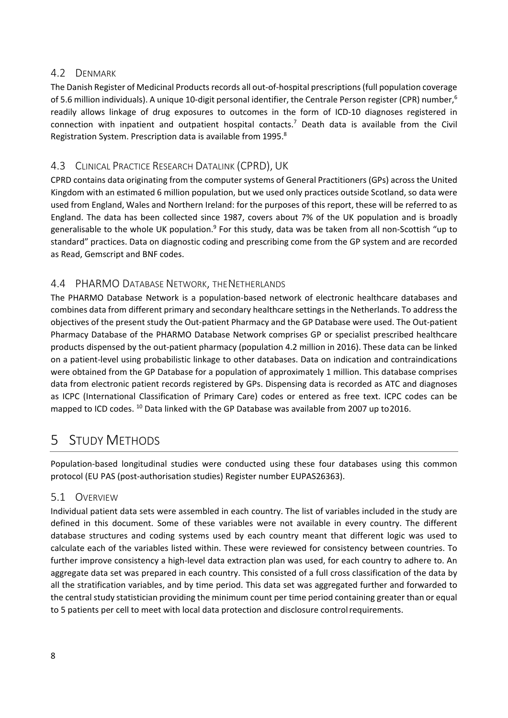#### <span id="page-7-0"></span>4.2 DENMARK

The Danish Register of Medicinal Products records all out-of-hospital prescriptions (full population coverage of 5.6 million individuals). A unique 10-digit personal identifier, the Centrale Person register (CPR) number,<sup>6</sup> readily allows linkage of drug exposures to outcomes in the form of ICD-10 diagnoses registered in connection with inpatient and outpatient hospital contacts.<sup>7</sup> Death data is available from the Civil Registration System. Prescription data is available from 1995.<sup>8</sup>

### <span id="page-7-1"></span>4.3 CLINICAL PRACTICE RESEARCH DATALINK (CPRD), UK

CPRD contains data originating from the computer systems of General Practitioners (GPs) across the United Kingdom with an estimated 6 million population, but we used only practices outside Scotland, so data were used from England, Wales and Northern Ireland: for the purposes of this report, these will be referred to as England. The data has been collected since 1987, covers about 7% of the UK population and is broadly generalisable to the whole UK population.<sup>9</sup> For this study, data was be taken from all non-Scottish "up to standard" practices. Data on diagnostic coding and prescribing come from the GP system and are recorded as Read, Gemscript and BNF codes.

### <span id="page-7-2"></span>4.4 PHARMO DATABASE NETWORK, THENETHERLANDS

The PHARMO Database Network is a population-based network of electronic healthcare databases and combines data from different primary and secondary healthcare settings in the Netherlands. To address the objectives of the present study the Out-patient Pharmacy and the GP Database were used. The Out-patient Pharmacy Database of the PHARMO Database Network comprises GP or specialist prescribed healthcare products dispensed by the out-patient pharmacy (population 4.2 million in 2016). These data can be linked on a patient-level using probabilistic linkage to other databases. Data on indication and contraindications were obtained from the GP Database for a population of approximately 1 million. This database comprises data from electronic patient records registered by GPs. Dispensing data is recorded as ATC and diagnoses as ICPC (International Classification of Primary Care) codes or entered as free text. ICPC codes can be mapped to ICD codes. <sup>10</sup> Data linked with the GP Database was available from 2007 up to 2016.

## <span id="page-7-3"></span>5 STUDY METHODS

Population-based longitudinal studies were conducted using these four databases using this common protocol (EU PAS (post-authorisation studies) Register number EUPAS26363).

#### <span id="page-7-4"></span>5.1 OVERVIEW

Individual patient data sets were assembled in each country. The list of variables included in the study are defined in this document. Some of these variables were not available in every country. The different database structures and coding systems used by each country meant that different logic was used to calculate each of the variables listed within. These were reviewed for consistency between countries. To further improve consistency a high-level data extraction plan was used, for each country to adhere to. An aggregate data set was prepared in each country. This consisted of a full cross classification of the data by all the stratification variables, and by time period. This data set was aggregated further and forwarded to the central study statistician providing the minimum count per time period containing greater than or equal to 5 patients per cell to meet with local data protection and disclosure controlrequirements.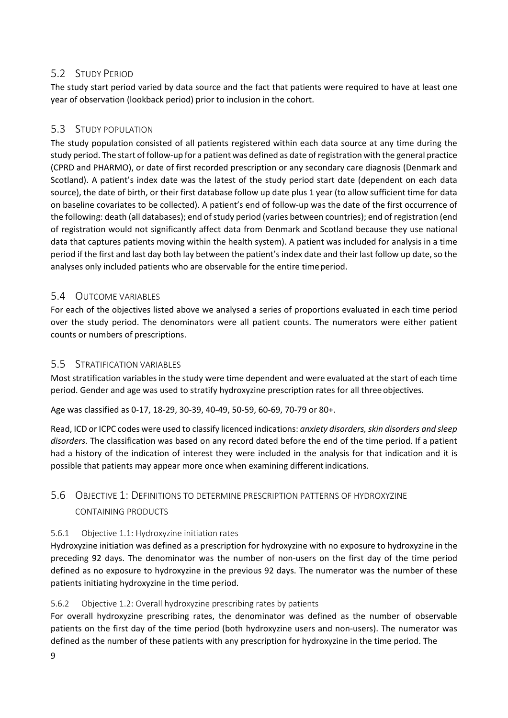### <span id="page-8-0"></span>5.2 STUDY PERIOD

The study start period varied by data source and the fact that patients were required to have at least one year of observation (lookback period) prior to inclusion in the cohort.

### <span id="page-8-1"></span>5.3 STUDY POPULATION

The study population consisted of all patients registered within each data source at any time during the study period. The start of follow-up for a patient was defined as date of registration with the general practice (CPRD and PHARMO), or date of first recorded prescription or any secondary care diagnosis (Denmark and Scotland). A patient's index date was the latest of the study period start date (dependent on each data source), the date of birth, or their first database follow up date plus 1 year (to allow sufficient time for data on baseline covariates to be collected). A patient's end of follow-up was the date of the first occurrence of the following: death (all databases); end of study period (varies between countries); end of registration (end of registration would not significantly affect data from Denmark and Scotland because they use national data that captures patients moving within the health system). A patient was included for analysis in a time period if the first and last day both lay between the patient's index date and their last follow up date, so the analyses only included patients who are observable for the entire timeperiod.

### <span id="page-8-2"></span>5.4 OUTCOME VARIABLES

For each of the objectives listed above we analysed a series of proportions evaluated in each time period over the study period. The denominators were all patient counts. The numerators were either patient counts or numbers of prescriptions.

#### <span id="page-8-3"></span>5.5 STRATIFICATION VARIABLES

Most stratification variables in the study were time dependent and were evaluated at the start of each time period. Gender and age was used to stratify hydroxyzine prescription rates for all three objectives.

Age was classified as 0-17, 18-29, 30-39, 40-49, 50-59, 60-69, 70-79 or 80+.

Read, ICD or ICPC codes were used to classify licenced indications: *anxiety disorders,skin disorders and sleep disorders.* The classification was based on any record dated before the end of the time period. If a patient had a history of the indication of interest they were included in the analysis for that indication and it is possible that patients may appear more once when examining differentindications.

### <span id="page-8-4"></span>5.6 OBJECTIVE 1: DEFINITIONS TO DETERMINE PRESCRIPTION PATTERNS OF HYDROXYZINE CONTAINING PRODUCTS

#### <span id="page-8-5"></span>5.6.1 Objective 1.1: Hydroxyzine initiation rates

Hydroxyzine initiation was defined as a prescription for hydroxyzine with no exposure to hydroxyzine in the preceding 92 days. The denominator was the number of non-users on the first day of the time period defined as no exposure to hydroxyzine in the previous 92 days. The numerator was the number of these patients initiating hydroxyzine in the time period.

#### <span id="page-8-6"></span>5.6.2 Objective 1.2: Overall hydroxyzine prescribing rates by patients

For overall hydroxyzine prescribing rates, the denominator was defined as the number of observable patients on the first day of the time period (both hydroxyzine users and non-users). The numerator was defined as the number of these patients with any prescription for hydroxyzine in the time period. The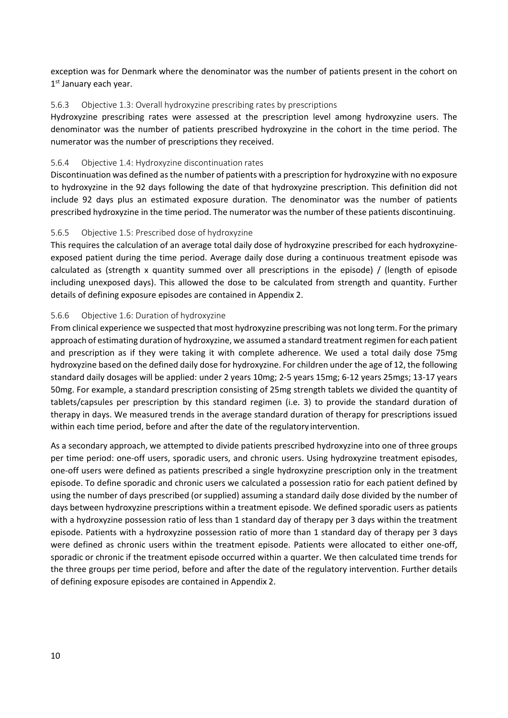exception was for Denmark where the denominator was the number of patients present in the cohort on 1st January each year.

#### <span id="page-9-0"></span>5.6.3 Objective 1.3: Overall hydroxyzine prescribing rates by prescriptions

Hydroxyzine prescribing rates were assessed at the prescription level among hydroxyzine users. The denominator was the number of patients prescribed hydroxyzine in the cohort in the time period. The numerator was the number of prescriptions they received.

#### <span id="page-9-1"></span>5.6.4 Objective 1.4: Hydroxyzine discontinuation rates

Discontinuation was defined asthe number of patients with a prescription for hydroxyzine with no exposure to hydroxyzine in the 92 days following the date of that hydroxyzine prescription. This definition did not include 92 days plus an estimated exposure duration. The denominator was the number of patients prescribed hydroxyzine in the time period. The numerator wasthe number of these patients discontinuing.

#### <span id="page-9-2"></span>5.6.5 Objective 1.5: Prescribed dose of hydroxyzine

This requires the calculation of an average total daily dose of hydroxyzine prescribed for each hydroxyzineexposed patient during the time period. Average daily dose during a continuous treatment episode was calculated as (strength x quantity summed over all prescriptions in the episode) / (length of episode including unexposed days). This allowed the dose to be calculated from strength and quantity. Further details of defining exposure episodes are contained in Appendix 2.

#### <span id="page-9-3"></span>5.6.6 Objective 1.6: Duration of hydroxyzine

From clinical experience we suspected that most hydroxyzine prescribing was not long term. For the primary approach of estimating duration of hydroxyzine, we assumed a standard treatment regimen for each patient and prescription as if they were taking it with complete adherence. We used a total daily dose 75mg hydroxyzine based on the defined daily dose for hydroxyzine. For children under the age of 12, the following standard daily dosages will be applied: under 2 years 10mg; 2-5 years 15mg; 6-12 years 25mgs; 13-17 years 50mg. For example, a standard prescription consisting of 25mg strength tablets we divided the quantity of tablets/capsules per prescription by this standard regimen (i.e. 3) to provide the standard duration of therapy in days. We measured trends in the average standard duration of therapy for prescriptions issued within each time period, before and after the date of the regulatory intervention.

As a secondary approach, we attempted to divide patients prescribed hydroxyzine into one of three groups per time period: one-off users, sporadic users, and chronic users. Using hydroxyzine treatment episodes, one-off users were defined as patients prescribed a single hydroxyzine prescription only in the treatment episode. To define sporadic and chronic users we calculated a possession ratio for each patient defined by using the number of days prescribed (or supplied) assuming a standard daily dose divided by the number of days between hydroxyzine prescriptions within a treatment episode. We defined sporadic users as patients with a hydroxyzine possession ratio of less than 1 standard day of therapy per 3 days within the treatment episode. Patients with a hydroxyzine possession ratio of more than 1 standard day of therapy per 3 days were defined as chronic users within the treatment episode. Patients were allocated to either one-off, sporadic or chronic if the treatment episode occurred within a quarter. We then calculated time trends for the three groups per time period, before and after the date of the regulatory intervention. Further details of defining exposure episodes are contained in Appendix 2.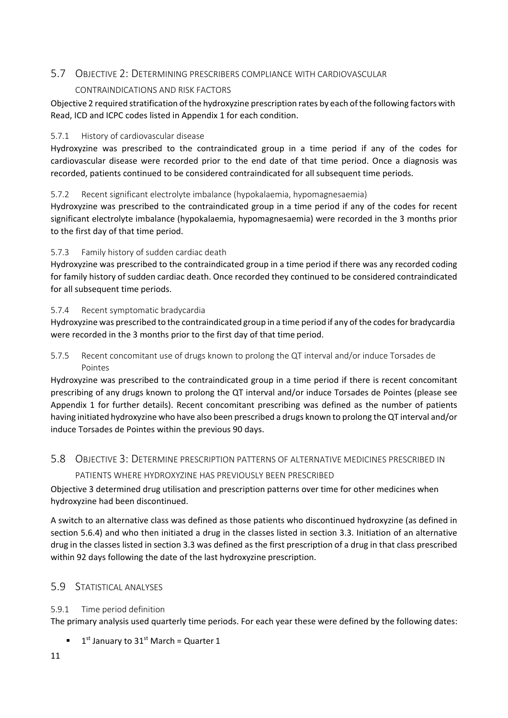### <span id="page-10-0"></span>5.7 OBJECTIVE 2: DETERMINING PRESCRIBERS COMPLIANCE WITH CARDIOVASCULAR

#### CONTRAINDICATIONS AND RISK FACTORS

Objective 2 required stratification ofthe hydroxyzine prescription rates by each ofthe following factors with Read, ICD and ICPC codes listed in Appendix 1 for each condition.

#### <span id="page-10-1"></span>5.7.1 History of cardiovascular disease

Hydroxyzine was prescribed to the contraindicated group in a time period if any of the codes for cardiovascular disease were recorded prior to the end date of that time period. Once a diagnosis was recorded, patients continued to be considered contraindicated for all subsequent time periods.

#### <span id="page-10-2"></span>5.7.2 Recent significant electrolyte imbalance (hypokalaemia, hypomagnesaemia)

Hydroxyzine was prescribed to the contraindicated group in a time period if any of the codes for recent significant electrolyte imbalance (hypokalaemia, hypomagnesaemia) were recorded in the 3 months prior to the first day of that time period.

#### <span id="page-10-3"></span>5.7.3 Family history of sudden cardiac death

Hydroxyzine was prescribed to the contraindicated group in a time period if there was any recorded coding for family history of sudden cardiac death. Once recorded they continued to be considered contraindicated for all subsequent time periods.

#### <span id="page-10-4"></span>5.7.4 Recent symptomatic bradycardia

Hydroxyzine was prescribed to the contraindicated group in a time period if any of the codesfor bradycardia were recorded in the 3 months prior to the first day of that time period.

<span id="page-10-5"></span>5.7.5 Recent concomitant use of drugs known to prolong the QT interval and/or induce Torsades de Pointes

Hydroxyzine was prescribed to the contraindicated group in a time period if there is recent concomitant prescribing of any drugs known to prolong the QT interval and/or induce Torsades de Pointes (please see Appendix 1 for further details). Recent concomitant prescribing was defined as the number of patients having initiated hydroxyzine who have also been prescribed a drugs known to prolong the QT interval and/or induce Torsades de Pointes within the previous 90 days.

### <span id="page-10-6"></span>5.8 OBJECTIVE 3: DETERMINE PRESCRIPTION PATTERNS OF ALTERNATIVE MEDICINES PRESCRIBED IN PATIENTS WHERE HYDROXYZINE HAS PREVIOUSLY BEEN PRESCRIBED

Objective 3 determined drug utilisation and prescription patterns over time for other medicines when hydroxyzine had been discontinued.

A switch to an alternative class was defined as those patients who discontinued hydroxyzine (as defined in section 5.6.4) and who then initiated a drug in the classes listed in section 3.3. Initiation of an alternative drug in the classes listed in section 3.3 was defined as the first prescription of a drug in that class prescribed within 92 days following the date of the last hydroxyzine prescription.

#### <span id="page-10-7"></span>5.9 STATISTICAL ANALYSES

#### <span id="page-10-8"></span>5.9.1 Time period definition

The primary analysis used quarterly time periods. For each year these were defined by the following dates:

 $1<sup>st</sup>$  January to 31<sup>st</sup> March = Quarter 1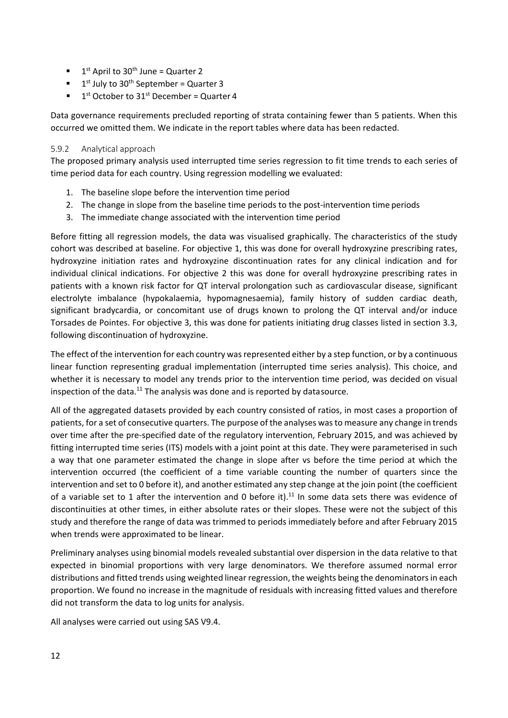- $\blacksquare$  1<sup>st</sup> April to 30<sup>th</sup> June = Quarter 2
- $\blacksquare$  1<sup>st</sup> July to 30<sup>th</sup> September = Quarter 3
- $1<sup>st</sup>$  October to 31<sup>st</sup> December = Quarter 4

Data governance requirements precluded reporting of strata containing fewer than 5 patients. When this occurred we omitted them. We indicate in the report tables where data has been redacted.

#### <span id="page-11-0"></span>5.9.2 Analytical approach

The proposed primary analysis used interrupted time series regression to fit time trends to each series of time period data for each country. Using regression modelling we evaluated:

- 1. The baseline slope before the intervention time period
- 2. The change in slope from the baseline time periods to the post-intervention time periods
- 3. The immediate change associated with the intervention time period

Before fitting all regression models, the data was visualised graphically. The characteristics of the study cohort was described at baseline. For objective 1, this was done for overall hydroxyzine prescribing rates, hydroxyzine initiation rates and hydroxyzine discontinuation rates for any clinical indication and for individual clinical indications. For objective 2 this was done for overall hydroxyzine prescribing rates in patients with a known risk factor for QT interval prolongation such as cardiovascular disease, significant electrolyte imbalance (hypokalaemia, hypomagnesaemia), family history of sudden cardiac death, significant bradycardia, or concomitant use of drugs known to prolong the QT interval and/or induce Torsades de Pointes. For objective 3, this was done for patients initiating drug classes listed in section 3.3, following discontinuation of hydroxyzine.

The effect of the intervention for each country was represented either by a step function, or by a continuous linear function representing gradual implementation (interrupted time series analysis). This choice, and whether it is necessary to model any trends prior to the intervention time period, was decided on visual inspection of the data. $^{11}$  The analysis was done and is reported by datasource.

All of the aggregated datasets provided by each country consisted of ratios, in most cases a proportion of patients, for a set of consecutive quarters. The purpose of the analyses wasto measure any change in trends over time after the pre-specified date of the regulatory intervention, February 2015, and was achieved by fitting interrupted time series (ITS) models with a joint point at this date. They were parameterised in such a way that one parameter estimated the change in slope after vs before the time period at which the intervention occurred (the coefficient of a time variable counting the number of quarters since the intervention and set to 0 before it), and another estimated any step change at the join point (the coefficient of a variable set to 1 after the intervention and 0 before it).<sup>11</sup> In some data sets there was evidence of discontinuities at other times, in either absolute rates or their slopes. These were not the subject of this study and therefore the range of data was trimmed to periods immediately before and after February 2015 when trends were approximated to be linear.

Preliminary analyses using binomial models revealed substantial over dispersion in the data relative to that expected in binomial proportions with very large denominators. We therefore assumed normal error distributions and fitted trends using weighted linear regression, the weights being the denominatorsin each proportion. We found no increase in the magnitude of residuals with increasing fitted values and therefore did not transform the data to log units for analysis.

All analyses were carried out using SAS V9.4.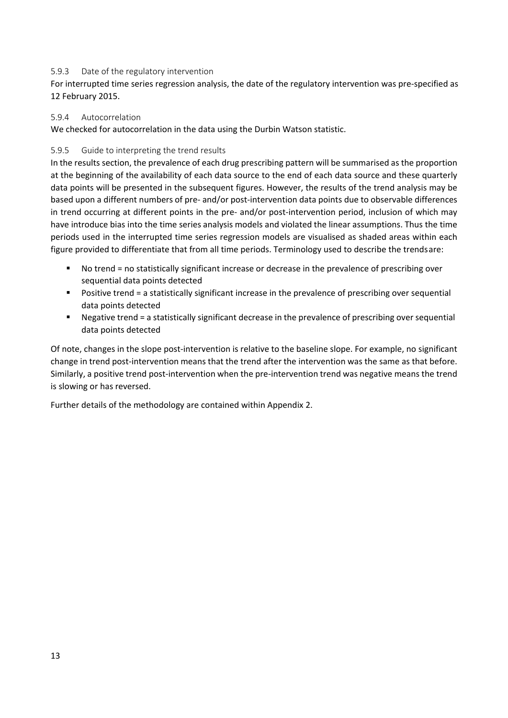#### <span id="page-12-0"></span>5.9.3 Date of the regulatory intervention

For interrupted time series regression analysis, the date of the regulatory intervention was pre-specified as 12 February 2015.

#### <span id="page-12-1"></span>5.9.4 Autocorrelation

We checked for autocorrelation in the data using the Durbin Watson statistic.

#### <span id="page-12-2"></span>5.9.5 Guide to interpreting the trend results

In the results section, the prevalence of each drug prescribing pattern will be summarised as the proportion at the beginning of the availability of each data source to the end of each data source and these quarterly data points will be presented in the subsequent figures. However, the results of the trend analysis may be based upon a different numbers of pre- and/or post-intervention data points due to observable differences in trend occurring at different points in the pre- and/or post-intervention period, inclusion of which may have introduce bias into the time series analysis models and violated the linear assumptions. Thus the time periods used in the interrupted time series regression models are visualised as shaded areas within each figure provided to differentiate that from all time periods. Terminology used to describe the trendsare:

- No trend = no statistically significant increase or decrease in the prevalence of prescribing over sequential data points detected
- **Positive trend = a statistically significant increase in the prevalence of prescribing over sequential** data points detected
- Negative trend = a statistically significant decrease in the prevalence of prescribing over sequential data points detected

Of note, changes in the slope post-intervention is relative to the baseline slope. For example, no significant change in trend post-intervention means that the trend after the intervention was the same as that before. Similarly, a positive trend post-intervention when the pre-intervention trend was negative means the trend is slowing or has reversed.

Further details of the methodology are contained within Appendix 2.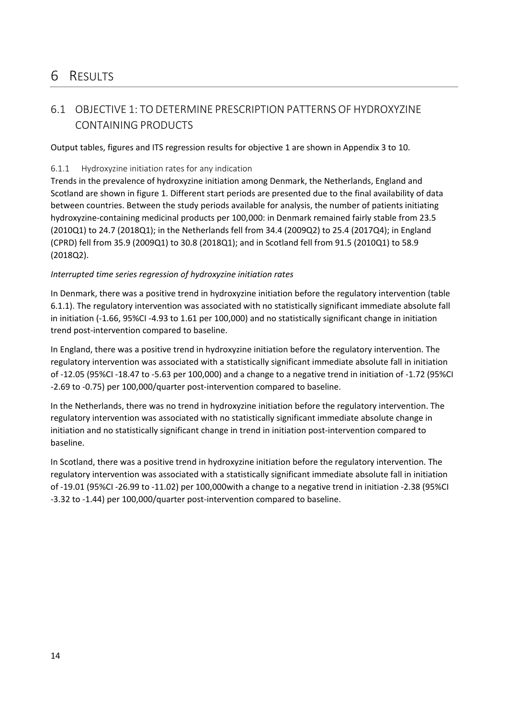## <span id="page-13-0"></span>6 RESULTS

## <span id="page-13-1"></span>6.1 OBJECTIVE 1: TO DETERMINE PRESCRIPTION PATTERNS OF HYDROXYZINE CONTAINING PRODUCTS

<span id="page-13-2"></span>Output tables, figures and ITS regression results for objective 1 are shown in Appendix 3 to 10.

#### <span id="page-13-3"></span>6.1.1 Hydroxyzine initiation rates for any indication

Trends in the prevalence of hydroxyzine initiation among Denmark, the Netherlands, England and Scotland are shown in figure 1. Different start periods are presented due to the final availability of data between countries. Between the study periods available for analysis, the number of patients initiating hydroxyzine-containing medicinal products per 100,000: in Denmark remained fairly stable from 23.5 (2010Q1) to 24.7 (2018Q1); in the Netherlands fell from 34.4 (2009Q2) to 25.4 (2017Q4); in England (CPRD) fell from 35.9 (2009Q1) to 30.8 (2018Q1); and in Scotland fell from 91.5 (2010Q1) to 58.9 (2018Q2).

#### *Interrupted time series regression of hydroxyzine initiation rates*

In Denmark, there was a positive trend in hydroxyzine initiation before the regulatory intervention (table 6.1.1). The regulatory intervention was associated with no statistically significant immediate absolute fall in initiation (-1.66, 95%CI -4.93 to 1.61 per 100,000) and no statistically significant change in initiation trend post-intervention compared to baseline.

In England, there was a positive trend in hydroxyzine initiation before the regulatory intervention. The regulatory intervention was associated with a statistically significant immediate absolute fall in initiation of -12.05 (95%CI -18.47 to -5.63 per 100,000) and a change to a negative trend in initiation of -1.72 (95%CI -2.69 to -0.75) per 100,000/quarter post-intervention compared to baseline.

In the Netherlands, there was no trend in hydroxyzine initiation before the regulatory intervention. The regulatory intervention was associated with no statistically significant immediate absolute change in initiation and no statistically significant change in trend in initiation post-intervention compared to baseline.

In Scotland, there was a positive trend in hydroxyzine initiation before the regulatory intervention. The regulatory intervention was associated with a statistically significant immediate absolute fall in initiation of -19.01 (95%CI -26.99 to -11.02) per 100,000with a change to a negative trend in initiation -2.38 (95%CI -3.32 to -1.44) per 100,000/quarter post-intervention compared to baseline.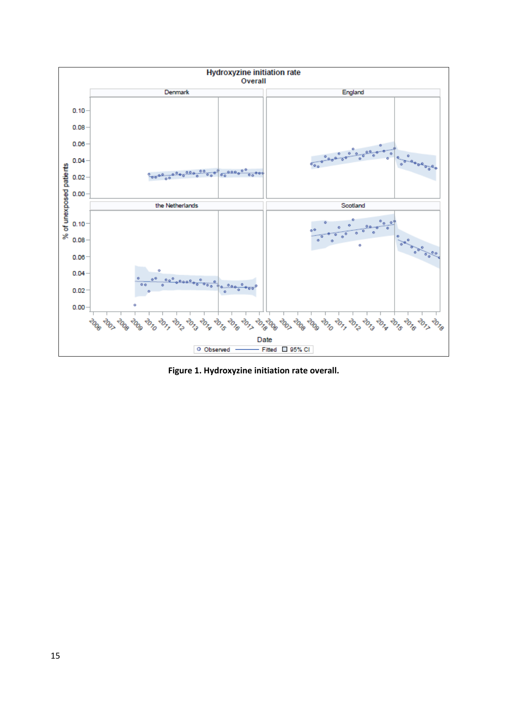

**Figure 1. Hydroxyzine initiation rate overall.**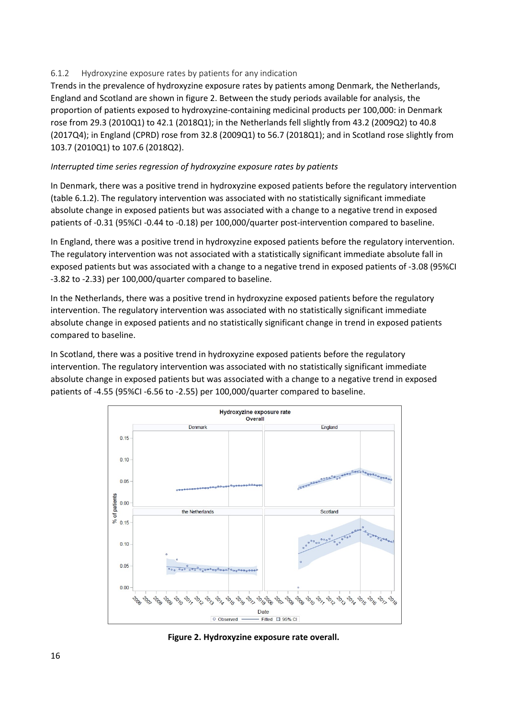#### <span id="page-15-0"></span>6.1.2 Hydroxyzine exposure rates by patients for any indication

Trends in the prevalence of hydroxyzine exposure rates by patients among Denmark, the Netherlands, England and Scotland are shown in figure 2. Between the study periods available for analysis, the proportion of patients exposed to hydroxyzine-containing medicinal products per 100,000: in Denmark rose from 29.3 (2010Q1) to 42.1 (2018Q1); in the Netherlands fell slightly from 43.2 (2009Q2) to 40.8 (2017Q4); in England (CPRD) rose from 32.8 (2009Q1) to 56.7 (2018Q1); and in Scotland rose slightly from 103.7 (2010Q1) to 107.6 (2018Q2).

#### *Interrupted time series regression of hydroxyzine exposure rates by patients*

In Denmark, there was a positive trend in hydroxyzine exposed patients before the regulatory intervention (table 6.1.2). The regulatory intervention was associated with no statistically significant immediate absolute change in exposed patients but was associated with a change to a negative trend in exposed patients of -0.31 (95%CI -0.44 to -0.18) per 100,000/quarter post-intervention compared to baseline.

In England, there was a positive trend in hydroxyzine exposed patients before the regulatory intervention. The regulatory intervention was not associated with a statistically significant immediate absolute fall in exposed patients but was associated with a change to a negative trend in exposed patients of -3.08 (95%CI -3.82 to -2.33) per 100,000/quarter compared to baseline.

In the Netherlands, there was a positive trend in hydroxyzine exposed patients before the regulatory intervention. The regulatory intervention was associated with no statistically significant immediate absolute change in exposed patients and no statistically significant change in trend in exposed patients compared to baseline.

In Scotland, there was a positive trend in hydroxyzine exposed patients before the regulatory intervention. The regulatory intervention was associated with no statistically significant immediate absolute change in exposed patients but was associated with a change to a negative trend in exposed patients of -4.55 (95%CI -6.56 to -2.55) per 100,000/quarter compared to baseline.



**Figure 2. Hydroxyzine exposure rate overall.**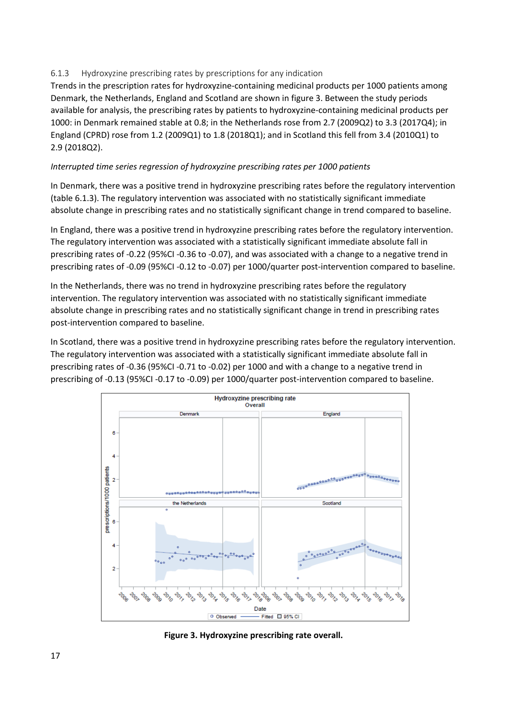#### <span id="page-16-0"></span>6.1.3 Hydroxyzine prescribing rates by prescriptions for any indication

Trends in the prescription rates for hydroxyzine-containing medicinal products per 1000 patients among Denmark, the Netherlands, England and Scotland are shown in figure 3. Between the study periods available for analysis, the prescribing rates by patients to hydroxyzine-containing medicinal products per 1000: in Denmark remained stable at 0.8; in the Netherlands rose from 2.7 (2009Q2) to 3.3 (2017Q4); in England (CPRD) rose from 1.2 (2009Q1) to 1.8 (2018Q1); and in Scotland this fell from 3.4 (2010Q1) to 2.9 (2018Q2).

#### *Interrupted time series regression of hydroxyzine prescribing rates per 1000 patients*

In Denmark, there was a positive trend in hydroxyzine prescribing rates before the regulatory intervention (table 6.1.3). The regulatory intervention was associated with no statistically significant immediate absolute change in prescribing rates and no statistically significant change in trend compared to baseline.

In England, there was a positive trend in hydroxyzine prescribing rates before the regulatory intervention. The regulatory intervention was associated with a statistically significant immediate absolute fall in prescribing rates of -0.22 (95%CI -0.36 to -0.07), and was associated with a change to a negative trend in prescribing rates of -0.09 (95%CI -0.12 to -0.07) per 1000/quarter post-intervention compared to baseline.

In the Netherlands, there was no trend in hydroxyzine prescribing rates before the regulatory intervention. The regulatory intervention was associated with no statistically significant immediate absolute change in prescribing rates and no statistically significant change in trend in prescribing rates post-intervention compared to baseline.

In Scotland, there was a positive trend in hydroxyzine prescribing rates before the regulatory intervention. The regulatory intervention was associated with a statistically significant immediate absolute fall in prescribing rates of -0.36 (95%CI -0.71 to -0.02) per 1000 and with a change to a negative trend in prescribing of -0.13 (95%CI -0.17 to -0.09) per 1000/quarter post-intervention compared to baseline.



**Figure 3. Hydroxyzine prescribing rate overall.**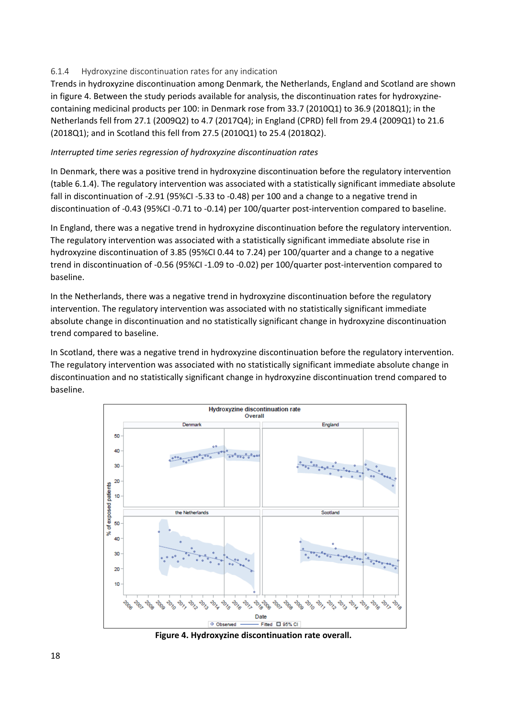#### <span id="page-17-0"></span>6.1.4 Hydroxyzine discontinuation rates for any indication

Trends in hydroxyzine discontinuation among Denmark, the Netherlands, England and Scotland are shown in figure 4. Between the study periods available for analysis, the discontinuation rates for hydroxyzinecontaining medicinal products per 100: in Denmark rose from 33.7 (2010Q1) to 36.9 (2018Q1); in the Netherlands fell from 27.1 (2009Q2) to 4.7 (2017Q4); in England (CPRD) fell from 29.4 (2009Q1) to 21.6 (2018Q1); and in Scotland this fell from 27.5 (2010Q1) to 25.4 (2018Q2).

#### *Interrupted time series regression of hydroxyzine discontinuation rates*

In Denmark, there was a positive trend in hydroxyzine discontinuation before the regulatory intervention (table 6.1.4). The regulatory intervention was associated with a statistically significant immediate absolute fall in discontinuation of -2.91 (95%CI -5.33 to -0.48) per 100 and a change to a negative trend in discontinuation of -0.43 (95%CI -0.71 to -0.14) per 100/quarter post-intervention compared to baseline.

In England, there was a negative trend in hydroxyzine discontinuation before the regulatory intervention. The regulatory intervention was associated with a statistically significant immediate absolute rise in hydroxyzine discontinuation of 3.85 (95%CI 0.44 to 7.24) per 100/quarter and a change to a negative trend in discontinuation of -0.56 (95%CI -1.09 to -0.02) per 100/quarter post-intervention compared to baseline.

In the Netherlands, there was a negative trend in hydroxyzine discontinuation before the regulatory intervention. The regulatory intervention was associated with no statistically significant immediate absolute change in discontinuation and no statistically significant change in hydroxyzine discontinuation trend compared to baseline.

In Scotland, there was a negative trend in hydroxyzine discontinuation before the regulatory intervention. The regulatory intervention was associated with no statistically significant immediate absolute change in discontinuation and no statistically significant change in hydroxyzine discontinuation trend compared to baseline.



**Figure 4. Hydroxyzine discontinuation rate overall.**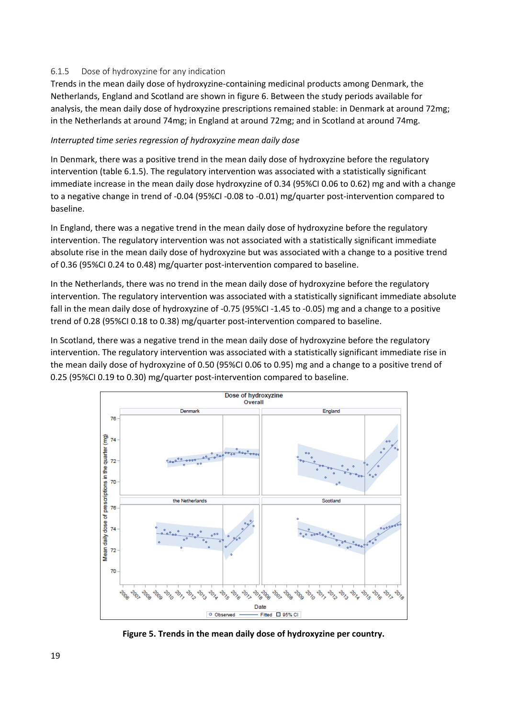#### <span id="page-18-0"></span>6.1.5 Dose of hydroxyzine for any indication

Trends in the mean daily dose of hydroxyzine-containing medicinal products among Denmark, the Netherlands, England and Scotland are shown in figure 6. Between the study periods available for analysis, the mean daily dose of hydroxyzine prescriptions remained stable: in Denmark at around 72mg; in the Netherlands at around 74mg; in England at around 72mg; and in Scotland at around 74mg.

#### *Interrupted time series regression of hydroxyzine mean daily dose*

In Denmark, there was a positive trend in the mean daily dose of hydroxyzine before the regulatory intervention (table 6.1.5). The regulatory intervention was associated with a statistically significant immediate increase in the mean daily dose hydroxyzine of 0.34 (95%CI 0.06 to 0.62) mg and with a change to a negative change in trend of -0.04 (95%CI -0.08 to -0.01) mg/quarter post-intervention compared to baseline.

In England, there was a negative trend in the mean daily dose of hydroxyzine before the regulatory intervention. The regulatory intervention was not associated with a statistically significant immediate absolute rise in the mean daily dose of hydroxyzine but was associated with a change to a positive trend of 0.36 (95%CI 0.24 to 0.48) mg/quarter post-intervention compared to baseline.

In the Netherlands, there was no trend in the mean daily dose of hydroxyzine before the regulatory intervention. The regulatory intervention was associated with a statistically significant immediate absolute fall in the mean daily dose of hydroxyzine of -0.75 (95%CI -1.45 to -0.05) mg and a change to a positive trend of 0.28 (95%CI 0.18 to 0.38) mg/quarter post-intervention compared to baseline.

In Scotland, there was a negative trend in the mean daily dose of hydroxyzine before the regulatory intervention. The regulatory intervention was associated with a statistically significant immediate rise in the mean daily dose of hydroxyzine of 0.50 (95%CI 0.06 to 0.95) mg and a change to a positive trend of 0.25 (95%CI 0.19 to 0.30) mg/quarter post-intervention compared to baseline.



**Figure 5. Trends in the mean daily dose of hydroxyzine per country.**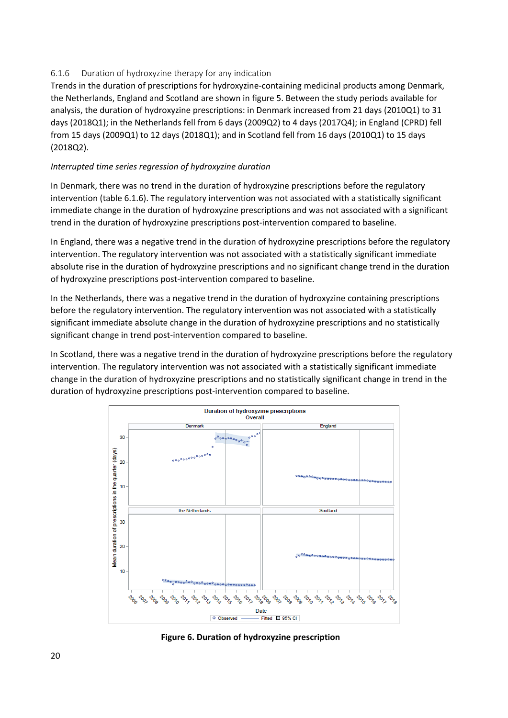#### <span id="page-19-0"></span>6.1.6 Duration of hydroxyzine therapy for any indication

Trends in the duration of prescriptions for hydroxyzine-containing medicinal products among Denmark, the Netherlands, England and Scotland are shown in figure 5. Between the study periods available for analysis, the duration of hydroxyzine prescriptions: in Denmark increased from 21 days (2010Q1) to 31 days (2018Q1); in the Netherlands fell from 6 days (2009Q2) to 4 days (2017Q4); in England (CPRD) fell from 15 days (2009Q1) to 12 days (2018Q1); and in Scotland fell from 16 days (2010Q1) to 15 days (2018Q2).

#### *Interrupted time series regression of hydroxyzine duration*

In Denmark, there was no trend in the duration of hydroxyzine prescriptions before the regulatory intervention (table 6.1.6). The regulatory intervention was not associated with a statistically significant immediate change in the duration of hydroxyzine prescriptions and was not associated with a significant trend in the duration of hydroxyzine prescriptions post-intervention compared to baseline.

In England, there was a negative trend in the duration of hydroxyzine prescriptions before the regulatory intervention. The regulatory intervention was not associated with a statistically significant immediate absolute rise in the duration of hydroxyzine prescriptions and no significant change trend in the duration of hydroxyzine prescriptions post-intervention compared to baseline.

In the Netherlands, there was a negative trend in the duration of hydroxyzine containing prescriptions before the regulatory intervention. The regulatory intervention was not associated with a statistically significant immediate absolute change in the duration of hydroxyzine prescriptions and no statistically significant change in trend post-intervention compared to baseline.

In Scotland, there was a negative trend in the duration of hydroxyzine prescriptions before the regulatory intervention. The regulatory intervention was not associated with a statistically significant immediate change in the duration of hydroxyzine prescriptions and no statistically significant change in trend in the duration of hydroxyzine prescriptions post-intervention compared to baseline.



**Figure 6. Duration of hydroxyzine prescription**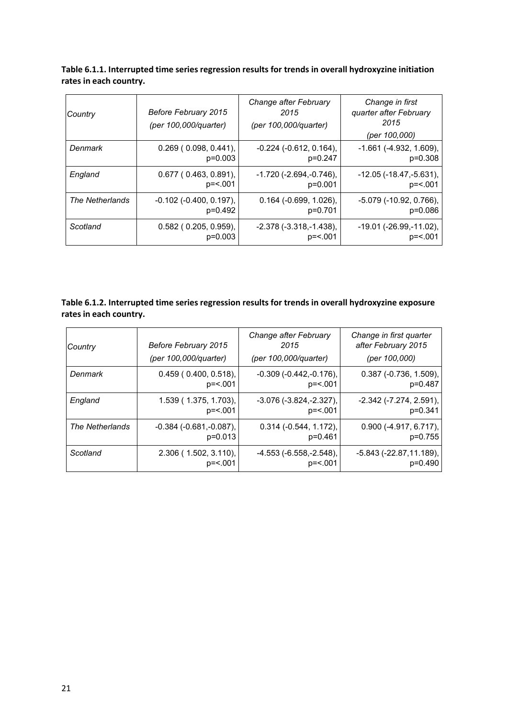| Table 6.1.1. Interrupted time series regression results for trends in overall hydroxyzine initiation |
|------------------------------------------------------------------------------------------------------|
| rates in each country.                                                                               |

| Country         | Before February 2015<br>(per 100,000/quarter) | Change after February<br>2015<br>(per 100,000/quarter) | Change in first<br>quarter after February<br>2015<br>(per 100,000) |
|-----------------|-----------------------------------------------|--------------------------------------------------------|--------------------------------------------------------------------|
| Denmark         | $0.269$ ( $0.098$ , $0.441$ ),                | $-0.224$ ( $-0.612$ , $0.164$ ),                       | $-1.661$ ( $-4.932$ , $1.609$ ),                                   |
|                 | $p=0.003$                                     | $p=0.247$                                              | $p=0.308$                                                          |
| England         | $0.677$ (0.463, 0.891),                       | $-1.720$ ( $-2.694$ , $-0.746$ ),                      | $-12.05$ ( $-18.47, -5.631$ ),                                     |
|                 | $p = 5.001$                                   | $p=0.001$                                              | $p = 5.001$                                                        |
| The Netherlands | $-0.102$ ( $-0.400$ , $0.197$ ),              | $0.164$ (-0.699, 1.026),                               | -5.079 (-10.92, 0.766),                                            |
|                 | p=0.492                                       | p=0.701                                                | p=0.086                                                            |
| Scotland        | $0.582$ (0.205, 0.959),                       | $-2.378(-3.318,-1.438),$                               | $-19.01$ ( $-26.99, -11.02$ ),                                     |
|                 | $p=0.003$                                     | $p = 5.001$                                            | $p = 5.001$                                                        |

#### **Table 6.1.2. Interrupted time series regression results for trends in overall hydroxyzine exposure rates in each country.**

| Country         | Before February 2015           | Change after February<br>2015     | Change in first quarter<br>after February 2015 |
|-----------------|--------------------------------|-----------------------------------|------------------------------------------------|
|                 | (per 100,000/quarter)          | (per 100,000/quarter)             | (per 100,000)                                  |
| Denmark         | $0.459$ ( $0.400, 0.518$ ),    | $-0.309(-0.442,-0.176),$          | $0.387$ (-0.736, 1.509),                       |
|                 | $p = 5.001$                    | $p = 5.001$                       | p=0.487                                        |
| England         | 1.539 (1.375, 1.703),          | $-3.076$ ( $-3.824$ , $-2.327$ ), | $-2.342$ ( $-7.274$ , $2.591$ ),               |
|                 | $p = 5.001$                    | $p = 5.001$                       | $p=0.341$                                      |
| The Netherlands | $-0.384$ ( $-0.681, -0.087$ ), | $0.314$ ( $-0.544$ , 1.172),      | $0.900$ (-4.917, 6.717),                       |
|                 | $p=0.013$                      | $p=0.461$                         | $p=0.755$                                      |
| Scotland        | $2.306$ (1.502, 3.110),        | $-4.553$ ( $-6.558$ , $-2.548$ ), | -5.843 (-22.87,11.189),                        |
|                 | p= <.001                       | $p = 5.001$                       | $p=0.490$                                      |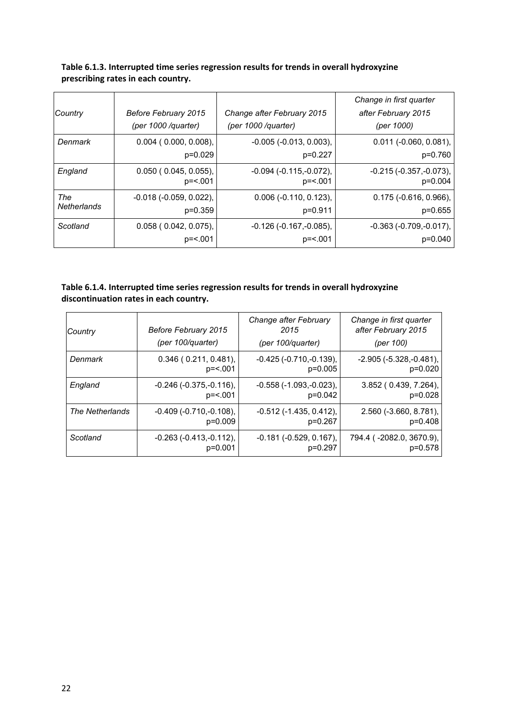| Country            | Before February 2015<br>(per 1000 /quarter) | Change after February 2015<br>(per 1000 /quarter) | Change in first quarter<br>after February 2015<br>(per 1000) |
|--------------------|---------------------------------------------|---------------------------------------------------|--------------------------------------------------------------|
| Denmark            | $0.004$ ( $0.000$ , $0.008$ ),              | $-0.005$ $(-0.013, 0.003)$ ,                      | $0.011$ (-0.060, 0.081),                                     |
|                    | $p=0.029$                                   | $p=0.227$                                         | p=0.760                                                      |
| England            | $0.050$ ( $0.045, 0.055$ ),                 | $-0.094$ ( $-0.115$ , $-0.072$ ),                 | $-0.215$ ( $-0.357$ , $-0.073$ ),                            |
|                    | $p = 5.001$                                 | $p = 5.001$                                       | $p=0.004$                                                    |
| The                | $-0.018$ ( $-0.059$ , $0.022$ ),            | $0.006$ (-0.110, 0.123),                          | $0.175$ (-0.616, 0.966),                                     |
| <b>Netherlands</b> | $p=0.359$                                   | $p=0.911$                                         | $p=0.655$                                                    |
| Scotland           | $0.058$ ( $0.042$ , $0.075$ ),              | $-0.126$ ( $-0.167$ , $-0.085$ ),                 | $-0.363$ $(-0.709,-0.017)$ ,                                 |
|                    | $p = 5.001$                                 | $p = 5.001$                                       | $p=0.040$                                                    |

**Table 6.1.3. Interrupted time series regression results for trends in overall hydroxyzine prescribing rates in each country.**

#### **Table 6.1.4. Interrupted time series regression results for trends in overall hydroxyzine discontinuation rates in each country.**

| Country         | Before February 2015<br>(per 100/quarter) | Change after February<br>2015<br>(per 100/quarter) | Change in first quarter<br>after February 2015<br>(per 100) |
|-----------------|-------------------------------------------|----------------------------------------------------|-------------------------------------------------------------|
| Denmark         | $0.346$ ( $0.211$ , $0.481$ ),            | $-0.425$ ( $-0.710$ , $-0.139$ ),                  | $-2.905$ ( $-5.328$ , $-0.481$ ),                           |
|                 | $p = 5.001$                               | $p=0.005$                                          | $p=0.020$                                                   |
| England         | $-0.246$ $(-0.375,-0.116)$ ,              | $-0.558$ ( $-1.093$ , $-0.023$ ),                  | 3.852 (0.439, 7.264),                                       |
|                 | $p = 5.001$                               | $p=0.042$                                          | $p=0.028$                                                   |
| The Netherlands | $-0.409(-0.710,-0.108),$                  | $-0.512$ ( $-1.435$ , $0.412$ ),                   | $2.560$ ( $-3.660$ , $8.781$ ),                             |
|                 | $p=0.009$                                 | $p=0.267$                                          | $p=0.408$                                                   |
| Scotland        | $-0.263$ ( $-0.413$ , $-0.112$ ),         | $-0.181$ $(-0.529, 0.167)$ ,                       | 794.4 (-2082.0, 3670.9),                                    |
|                 | $p=0.001$                                 | $p=0.297$                                          | p=0.578                                                     |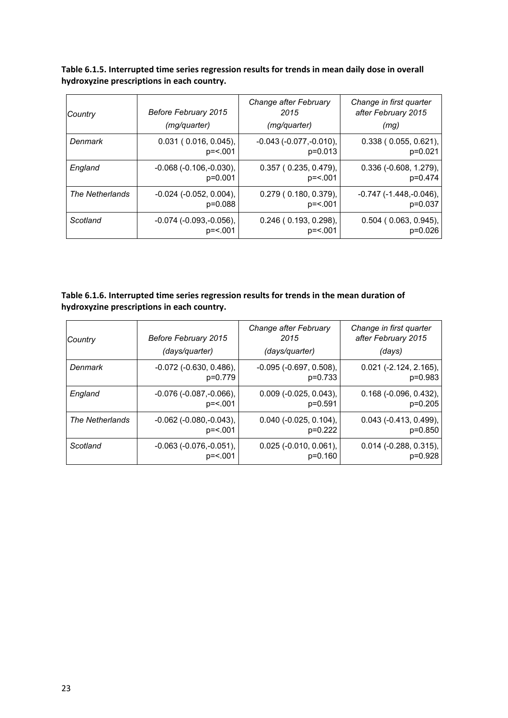**Table 6.1.5. Interrupted time series regression results for trends in mean daily dose in overall hydroxyzine prescriptions in each country.**

| Country         | Before February 2015<br>(mg/quarter) | Change after February<br>2015<br>(mg/quarter) | Change in first quarter<br>after February 2015<br>(mq) |
|-----------------|--------------------------------------|-----------------------------------------------|--------------------------------------------------------|
| Denmark         | $0.031$ ( $0.016$ , $0.045$ ),       | $-0.043$ ( $-0.077, -0.010$ ),                | $0.338$ ( $0.055$ , $0.621$ ),                         |
|                 | $p = 5.001$                          | $p=0.013$                                     | $p=0.021$                                              |
| England         | $-0.068$ $(-0.106,-0.030)$ ,         | $0.357$ ( $0.235, 0.479$ ),                   | $0.336$ (-0.608, 1.279),                               |
|                 | $p=0.001$                            | p= <.001                                      | p=0.474                                                |
| The Netherlands | $-0.024$ ( $-0.052$ , $0.004$ ),     | $0.279$ ( $0.180, 0.379$ )                    | $-0.747$ ( $-1.448$ , $-0.046$ ),                      |
|                 | $p=0.088$                            | $p = 5.001$                                   | $p=0.037$                                              |
| Scotland        | $-0.074$ ( $-0.093$ , $-0.056$ ),    | $0.246$ ( $0.193$ , $0.298$ ),                | $0.504$ (0.063, 0.945),                                |
|                 | $p = 5.001$                          | $p = 5.001$                                   | $p=0.026$                                              |

#### **Table 6.1.6. Interrupted time series regression results for trends in the mean duration of hydroxyzine prescriptions in each country.**

| Country         | Before February 2015<br>(days/quarter) | Change after February<br>2015<br>(days/quarter) | Change in first quarter<br>after February 2015<br>(days) |
|-----------------|----------------------------------------|-------------------------------------------------|----------------------------------------------------------|
| Denmark         | $-0.072$ ( $-0.630$ , $0.486$ ),       | $-0.095$ $(-0.697, 0.508)$ ,                    | $0.021$ (-2.124, 2.165),                                 |
|                 | p=0.779                                | $p=0.733$                                       | $p=0.983$                                                |
| England         | $-0.076$ ( $-0.087, -0.066$ ),         | $0.009$ (-0.025, 0.043),                        | $0.168$ (-0.096, 0.432),                                 |
|                 | $p = 5.001$                            | $p=0.591$                                       | $p=0.205$                                                |
| The Netherlands | $-0.062$ ( $-0.080$ , $-0.043$ ),      | $0.040$ (-0.025, 0.104),                        | $0.043$ (-0.413, 0.499),                                 |
|                 | $p = 5.001$                            | $p=0.222$                                       | $p=0.850$                                                |
| Scotland        | $-0.063$ ( $-0.076$ , $-0.051$ ),      | $0.025$ (-0.010, 0.061),                        | $0.014$ (-0.288, 0.315),                                 |
|                 | p=<.001                                | $p=0.160$                                       | $p=0.928$                                                |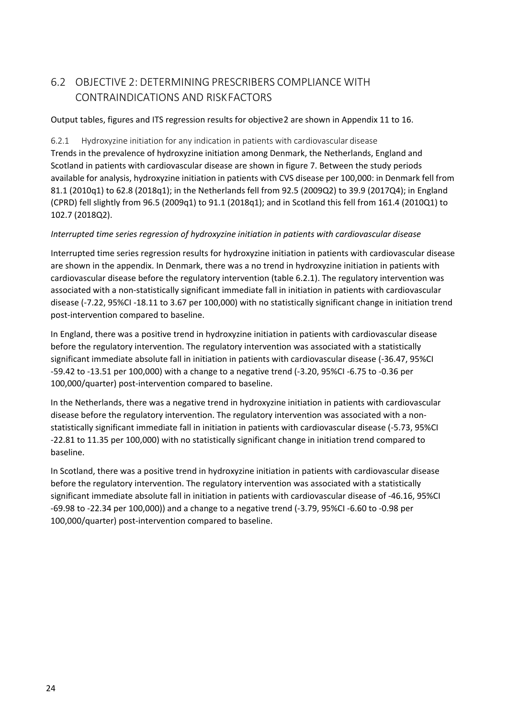## <span id="page-23-0"></span>6.2 OBJECTIVE 2: DETERMINING PRESCRIBERS COMPLIANCE WITH CONTRAINDICATIONS AND RISKFACTORS

<span id="page-23-1"></span>Output tables, figures and ITS regression results for objective2 are shown in Appendix 11 to 16.

<span id="page-23-2"></span>6.2.1 Hydroxyzine initiation for any indication in patients with cardiovascular disease Trends in the prevalence of hydroxyzine initiation among Denmark, the Netherlands, England and Scotland in patients with cardiovascular disease are shown in figure 7. Between the study periods available for analysis, hydroxyzine initiation in patients with CVS disease per 100,000: in Denmark fell from 81.1 (2010q1) to 62.8 (2018q1); in the Netherlands fell from 92.5 (2009Q2) to 39.9 (2017Q4); in England (CPRD) fell slightly from 96.5 (2009q1) to 91.1 (2018q1); and in Scotland this fell from 161.4 (2010Q1) to 102.7 (2018Q2).

#### *Interrupted time series regression of hydroxyzine initiation in patients with cardiovascular disease*

Interrupted time series regression results for hydroxyzine initiation in patients with cardiovascular disease are shown in the appendix. In Denmark, there was a no trend in hydroxyzine initiation in patients with cardiovascular disease before the regulatory intervention (table 6.2.1). The regulatory intervention was associated with a non-statistically significant immediate fall in initiation in patients with cardiovascular disease (-7.22, 95%CI -18.11 to 3.67 per 100,000) with no statistically significant change in initiation trend post-intervention compared to baseline.

In England, there was a positive trend in hydroxyzine initiation in patients with cardiovascular disease before the regulatory intervention. The regulatory intervention was associated with a statistically significant immediate absolute fall in initiation in patients with cardiovascular disease (-36.47, 95%CI -59.42 to -13.51 per 100,000) with a change to a negative trend (-3.20, 95%CI -6.75 to -0.36 per 100,000/quarter) post-intervention compared to baseline.

In the Netherlands, there was a negative trend in hydroxyzine initiation in patients with cardiovascular disease before the regulatory intervention. The regulatory intervention was associated with a nonstatistically significant immediate fall in initiation in patients with cardiovascular disease (-5.73, 95%CI -22.81 to 11.35 per 100,000) with no statistically significant change in initiation trend compared to baseline.

In Scotland, there was a positive trend in hydroxyzine initiation in patients with cardiovascular disease before the regulatory intervention. The regulatory intervention was associated with a statistically significant immediate absolute fall in initiation in patients with cardiovascular disease of -46.16, 95%CI -69.98 to -22.34 per 100,000)) and a change to a negative trend (-3.79, 95%CI -6.60 to -0.98 per 100,000/quarter) post-intervention compared to baseline.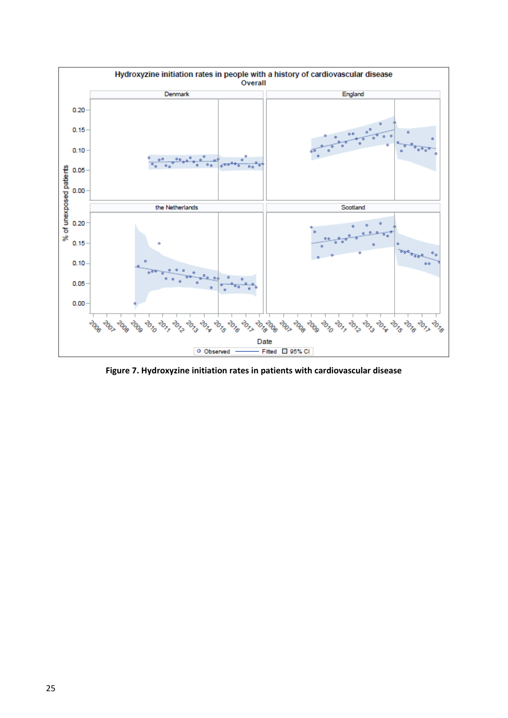

**Figure 7. Hydroxyzine initiation rates in patients with cardiovascular disease**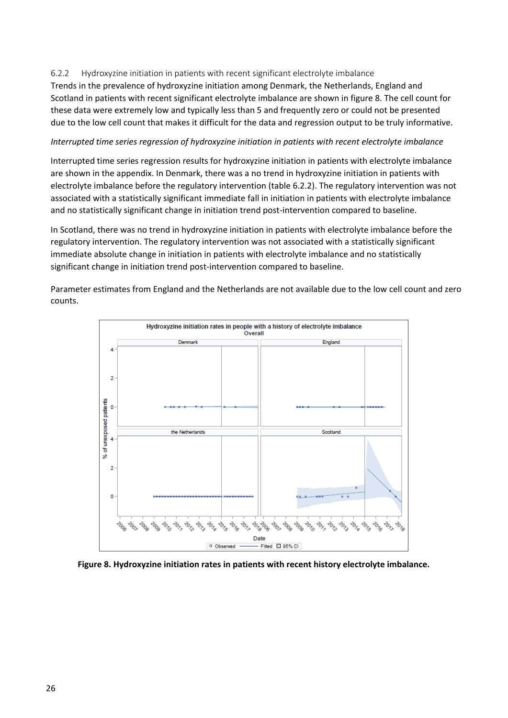#### <span id="page-25-0"></span>6.2.2 Hydroxyzine initiation in patients with recent significant electrolyte imbalance

Trends in the prevalence of hydroxyzine initiation among Denmark, the Netherlands, England and Scotland in patients with recent significant electrolyte imbalance are shown in figure 8. The cell count for these data were extremely low and typically less than 5 and frequently zero or could not be presented due to the low cell count that makes it difficult for the data and regression output to be truly informative.

#### *Interrupted time series regression of hydroxyzine initiation in patients with recent electrolyte imbalance*

Interrupted time series regression results for hydroxyzine initiation in patients with electrolyte imbalance are shown in the appendix. In Denmark, there was a no trend in hydroxyzine initiation in patients with electrolyte imbalance before the regulatory intervention (table 6.2.2). The regulatory intervention was not associated with a statistically significant immediate fall in initiation in patients with electrolyte imbalance and no statistically significant change in initiation trend post-intervention compared to baseline.

In Scotland, there was no trend in hydroxyzine initiation in patients with electrolyte imbalance before the regulatory intervention. The regulatory intervention was not associated with a statistically significant immediate absolute change in initiation in patients with electrolyte imbalance and no statistically significant change in initiation trend post-intervention compared to baseline.

Hydroxyzine initiation rates in people with a history of electrolyte imbalance Overall Denmark England  $\overline{2}$ of unexposed patients  $\circ$ the Netherlands Scotland 4 Ś  $\overline{2}$  $\circ$ ÷ 2014 2015 2076  $e^{i\theta_{\chi_{\lambda}}}$ 201800 Date O Observed Fitted 0 95% CI

Parameter estimates from England and the Netherlands are not available due to the low cell count and zero counts.

#### **Figure 8. Hydroxyzine initiation rates in patients with recent history electrolyte imbalance.**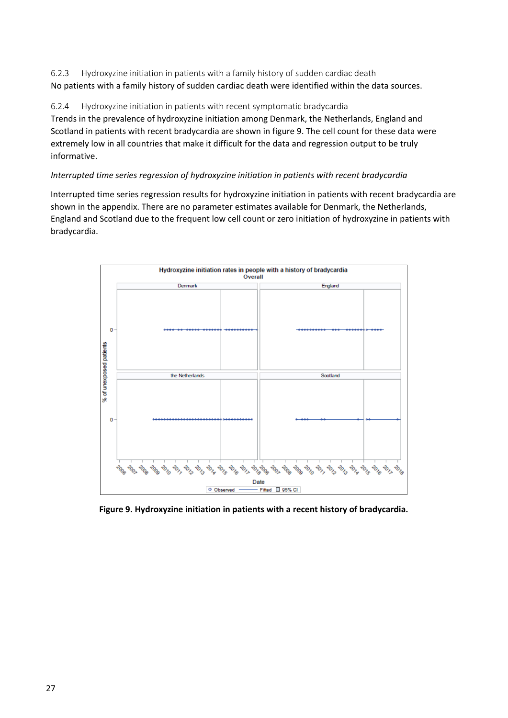<span id="page-26-0"></span>6.2.3 Hydroxyzine initiation in patients with a family history of sudden cardiac death No patients with a family history of sudden cardiac death were identified within the data sources.

<span id="page-26-1"></span>6.2.4 Hydroxyzine initiation in patients with recent symptomatic bradycardia Trends in the prevalence of hydroxyzine initiation among Denmark, the Netherlands, England and Scotland in patients with recent bradycardia are shown in figure 9. The cell count for these data were extremely low in all countries that make it difficult for the data and regression output to be truly informative.

#### *Interrupted time series regression of hydroxyzine initiation in patients with recent bradycardia*

Interrupted time series regression results for hydroxyzine initiation in patients with recent bradycardia are shown in the appendix. There are no parameter estimates available for Denmark, the Netherlands, England and Scotland due to the frequent low cell count or zero initiation of hydroxyzine in patients with bradycardia.



**Figure 9. Hydroxyzine initiation in patients with a recent history of bradycardia.**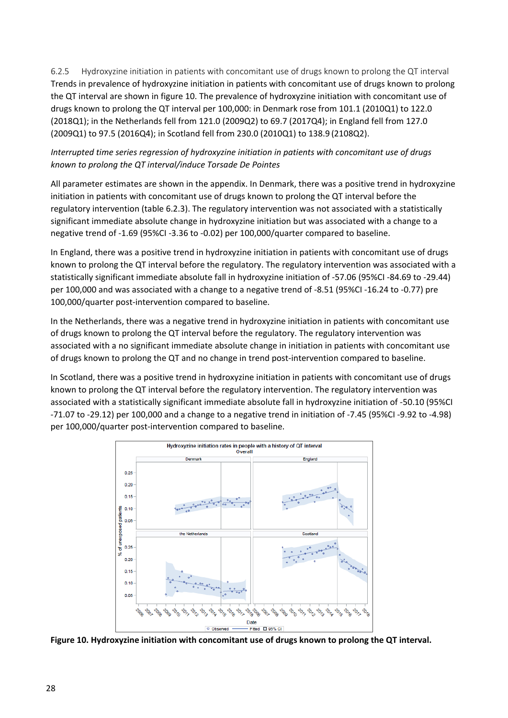<span id="page-27-0"></span>6.2.5 Hydroxyzine initiation in patients with concomitant use of drugs known to prolong the QT interval Trends in prevalence of hydroxyzine initiation in patients with concomitant use of drugs known to prolong the QT interval are shown in figure 10. The prevalence of hydroxyzine initiation with concomitant use of drugs known to prolong the QT interval per 100,000: in Denmark rose from 101.1 (2010Q1) to 122.0 (2018Q1); in the Netherlands fell from 121.0 (2009Q2) to 69.7 (2017Q4); in England fell from 127.0 (2009Q1) to 97.5 (2016Q4); in Scotland fell from 230.0 (2010Q1) to 138.9 (2108Q2).

#### *Interrupted time series regression of hydroxyzine initiation in patients with concomitant use of drugs known to prolong the QT interval/induce Torsade De Pointes*

All parameter estimates are shown in the appendix. In Denmark, there was a positive trend in hydroxyzine initiation in patients with concomitant use of drugs known to prolong the QT interval before the regulatory intervention (table 6.2.3). The regulatory intervention was not associated with a statistically significant immediate absolute change in hydroxyzine initiation but was associated with a change to a negative trend of -1.69 (95%CI -3.36 to -0.02) per 100,000/quarter compared to baseline.

In England, there was a positive trend in hydroxyzine initiation in patients with concomitant use of drugs known to prolong the QT interval before the regulatory. The regulatory intervention was associated with a statistically significant immediate absolute fall in hydroxyzine initiation of -57.06 (95%CI -84.69 to -29.44) per 100,000 and was associated with a change to a negative trend of -8.51 (95%CI -16.24 to -0.77) pre 100,000/quarter post-intervention compared to baseline.

In the Netherlands, there was a negative trend in hydroxyzine initiation in patients with concomitant use of drugs known to prolong the QT interval before the regulatory. The regulatory intervention was associated with a no significant immediate absolute change in initiation in patients with concomitant use of drugs known to prolong the QT and no change in trend post-intervention compared to baseline.

In Scotland, there was a positive trend in hydroxyzine initiation in patients with concomitant use of drugs known to prolong the QT interval before the regulatory intervention. The regulatory intervention was associated with a statistically significant immediate absolute fall in hydroxyzine initiation of -50.10 (95%CI -71.07 to -29.12) per 100,000 and a change to a negative trend in initiation of -7.45 (95%CI -9.92 to -4.98) per 100,000/quarter post-intervention compared to baseline.



**Figure 10. Hydroxyzine initiation with concomitant use of drugs known to prolong the QT interval.**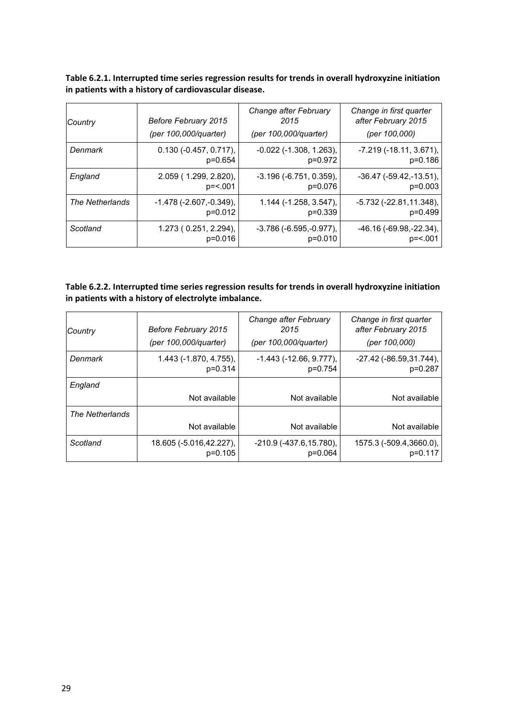**Table 6.2.1. Interrupted time series regression results for trends in overall hydroxyzine initiation in patients with a history of cardiovascular disease.**

| Country         | Before February 2015              | Change after February<br>2015  | Change in first quarter<br>after February 2015 |
|-----------------|-----------------------------------|--------------------------------|------------------------------------------------|
|                 | (per 100,000/quarter)             | (per 100,000/quarter)          | (per 100,000)                                  |
| Denmark         | $0.130 (-0.457, 0.717),$          | $-0.022$ ( $-1.308$ , 1.263),  | $-7.219(-18.11, 3.671)$ ,                      |
|                 | p=0.654                           | p=0.972                        | $p=0.186$                                      |
| England         | 2.059 (1.299, 2.820),             | $-3.196$ $(-6.751, 0.359)$ ,   | $-36.47$ ( $-59.42$ , $-13.51$ ),              |
|                 | $p = 5.001$                       | p=0.076                        | $p=0.003$                                      |
| The Netherlands | $-1.478$ ( $-2.607$ , $-0.349$ ), | $1.144$ (-1.258, 3.547),       | -5.732 (-22.81,11.348),                        |
|                 | p=0.012                           | $p=0.339$                      | $p=0.499$                                      |
| Scotland        | 1.273 (0.251, 2.294),             | $-3.786$ ( $-6.595, -0.977$ ), | $-46.16(-69.98,-22.34)$ ,                      |
|                 | $p=0.016$                         | $p=0.010$                      | $p = 5.001$                                    |

#### **Table 6.2.2. Interrupted time series regression results for trends in overall hydroxyzine initiation in patients with a history of electrolyte imbalance.**

| Country         | Before February 2015<br>(per 100,000/quarter) | Change after February<br>2015<br>(per 100,000/quarter) | Change in first quarter<br>after February 2015<br>(per 100,000) |
|-----------------|-----------------------------------------------|--------------------------------------------------------|-----------------------------------------------------------------|
| Denmark         | 1.443 (-1.870, 4.755),<br>$p=0.314$           | $-1.443$ $(-12.66, 9.777)$ ,<br>p=0.754                | $-27.42$ ( $-86.59,31.744$ ),<br>$p=0.287$                      |
| England         |                                               |                                                        |                                                                 |
|                 | Not available                                 | Not available                                          | Not available                                                   |
| The Netherlands |                                               |                                                        |                                                                 |
|                 | Not available                                 | Not available                                          | Not available                                                   |
| Scotland        | 18.605 (-5.016,42.227),<br>$p=0.105$          | $-210.9$ ( $-437.6, 15.780$ ),<br>p=0.064              | 1575.3 (-509.4,3660.0),<br>p=0.117                              |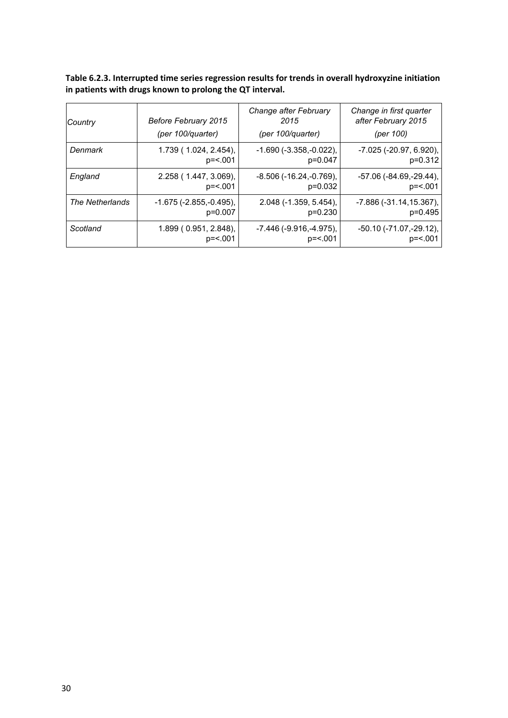**Table 6.2.3. Interrupted time series regression results for trends in overall hydroxyzine initiation in patients with drugs known to prolong the QT interval.**

| Country         | Before February 2015<br>(per 100/quarter) | Change after February<br>2015<br>(per 100/quarter) | Change in first quarter<br>after February 2015<br>(per 100) |
|-----------------|-------------------------------------------|----------------------------------------------------|-------------------------------------------------------------|
| Denmark         | 1.739(1.024, 2.454),                      | $-1.690(-3.358,-0.022)$ ,                          | $-7.025$ ( $-20.97, 6.920$ ),                               |
|                 | $p = 5.001$                               | p=0.047                                            | p=0.312                                                     |
| England         | 2.258 (1.447, 3.069),                     | $-8.506$ ( $-16.24$ , $-0.769$ ),                  | $-57.06$ ( $-84.69$ , $-29.44$ ),                           |
|                 | $p = 5.001$                               | $p=0.032$                                          | $p = 5.001$                                                 |
| The Netherlands | $-1.675$ ( $-2.855$ , $-0.495$ ),         | $2.048$ ( $-1.359$ , $5.454$ ),                    | -7.886 (-31.14,15.367),                                     |
|                 | $p=0.007$                                 | $p=0.230$                                          | $p=0.495$                                                   |
| Scotland        | 1.899(0.951, 2.848),                      | $-7.446$ ( $-9.916$ , $-4.975$ ),                  | $-50.10$ ( $-71.07$ , $-29.12$ ),                           |
|                 | $p = 5.001$                               | $p = 5.001$                                        | $p = 5.001$                                                 |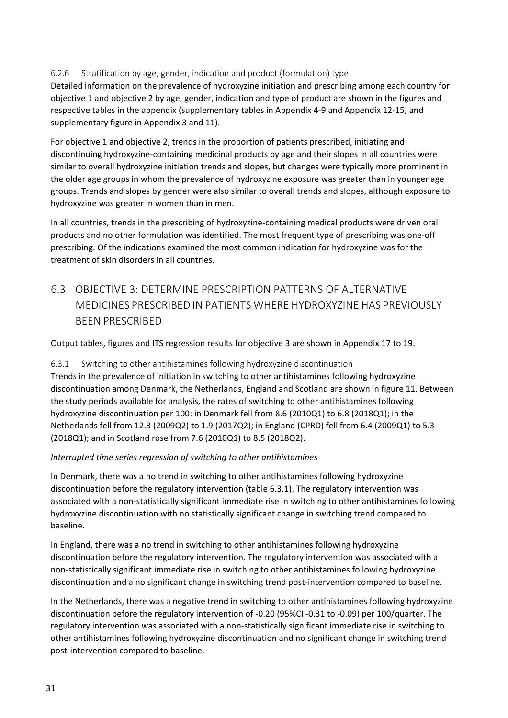#### <span id="page-30-0"></span>6.2.6 Stratification by age, gender, indication and product (formulation) type

Detailed information on the prevalence of hydroxyzine initiation and prescribing among each country for objective 1 and objective 2 by age, gender, indication and type of product are shown in the figures and respective tables in the appendix (supplementary tables in Appendix 4-9 and Appendix 12-15, and supplementary figure in Appendix 3 and 11).

For objective 1 and objective 2, trends in the proportion of patients prescribed, initiating and discontinuing hydroxyzine-containing medicinal products by age and their slopes in all countries were similar to overall hydroxyzine initiation trends and slopes, but changes were typically more prominent in the older age groups in whom the prevalence of hydroxyzine exposure was greater than in younger age groups. Trends and slopes by gender were also similar to overall trends and slopes, although exposure to hydroxyzine was greater in women than in men.

In all countries, trends in the prescribing of hydroxyzine-containing medical products were driven oral products and no other formulation was identified. The most frequent type of prescribing was one-off prescribing. Of the indications examined the most common indication for hydroxyzine was for the treatment of skin disorders in all countries.

## <span id="page-30-1"></span>6.3 OBJECTIVE 3: DETERMINE PRESCRIPTION PATTERNS OF ALTERNATIVE MEDICINES PRESCRIBED IN PATIENTS WHERE HYDROXYZINE HAS PREVIOUSLY BEEN PRESCRIBED

Output tables, figures and ITS regression results for objective 3 are shown in Appendix 17 to 19.

## <span id="page-30-2"></span>6.3.1 Switching to other antihistamines following hydroxyzine discontinuation

Trends in the prevalence of initiation in switching to other antihistamines following hydroxyzine discontinuation among Denmark, the Netherlands, England and Scotland are shown in figure 11. Between the study periods available for analysis, the rates of switching to other antihistamines following hydroxyzine discontinuation per 100: in Denmark fell from 8.6 (2010Q1) to 6.8 (2018Q1); in the Netherlands fell from 12.3 (2009Q2) to 1.9 (2017Q2); in England (CPRD) fell from 6.4 (2009Q1) to 5.3 (2018Q1); and in Scotland rose from 7.6 (2010Q1) to 8.5 (2018Q2).

#### *Interrupted time series regression of switching to other antihistamines*

In Denmark, there was a no trend in switching to other antihistamines following hydroxyzine discontinuation before the regulatory intervention (table 6.3.1). The regulatory intervention was associated with a non-statistically significant immediate rise in switching to other antihistamines following hydroxyzine discontinuation with no statistically significant change in switching trend compared to baseline.

In England, there was a no trend in switching to other antihistamines following hydroxyzine discontinuation before the regulatory intervention. The regulatory intervention was associated with a non-statistically significant immediate rise in switching to other antihistamines following hydroxyzine discontinuation and a no significant change in switching trend post-intervention compared to baseline.

In the Netherlands, there was a negative trend in switching to other antihistamines following hydroxyzine discontinuation before the regulatory intervention of -0.20 (95%CI -0.31 to -0.09) per 100/quarter. The regulatory intervention was associated with a non-statistically significant immediate rise in switching to other antihistamines following hydroxyzine discontinuation and no significant change in switching trend post-intervention compared to baseline.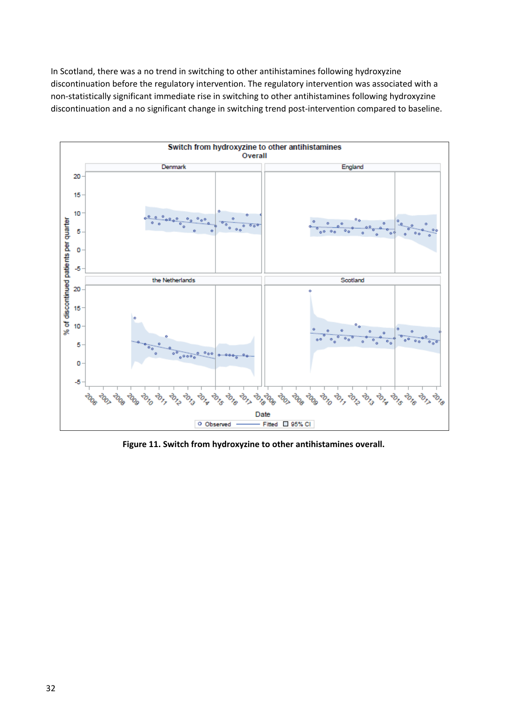In Scotland, there was a no trend in switching to other antihistamines following hydroxyzine discontinuation before the regulatory intervention. The regulatory intervention was associated with a non-statistically significant immediate rise in switching to other antihistamines following hydroxyzine discontinuation and a no significant change in switching trend post-intervention compared to baseline.



**Figure 11. Switch from hydroxyzine to other antihistamines overall.**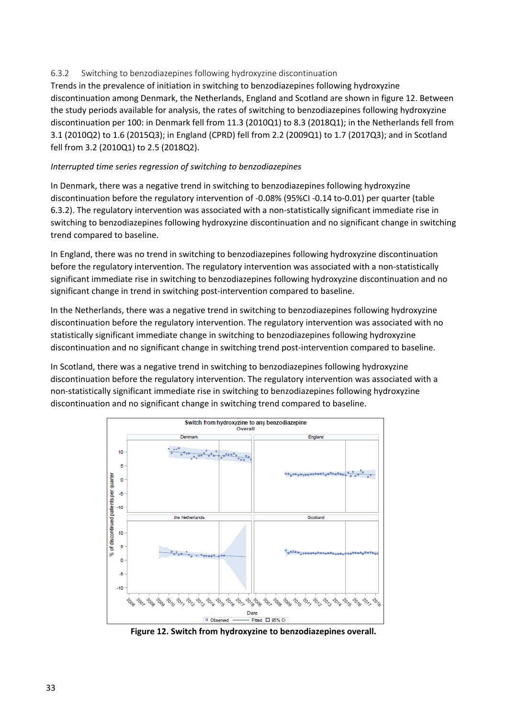#### <span id="page-32-0"></span>6.3.2 Switching to benzodiazepines following hydroxyzine discontinuation

Trends in the prevalence of initiation in switching to benzodiazepines following hydroxyzine discontinuation among Denmark, the Netherlands, England and Scotland are shown in figure 12. Between the study periods available for analysis, the rates of switching to benzodiazepines following hydroxyzine discontinuation per 100: in Denmark fell from 11.3 (2010Q1) to 8.3 (2018Q1); in the Netherlands fell from 3.1 (2010Q2) to 1.6 (2015Q3); in England (CPRD) fell from 2.2 (2009Q1) to 1.7 (2017Q3); and in Scotland fell from 3.2 (2010Q1) to 2.5 (2018Q2).

#### *Interrupted time series regression of switching to benzodiazepines*

In Denmark, there was a negative trend in switching to benzodiazepines following hydroxyzine discontinuation before the regulatory intervention of -0.08% (95%CI -0.14 to-0.01) per quarter (table 6.3.2). The regulatory intervention was associated with a non-statistically significant immediate rise in switching to benzodiazepines following hydroxyzine discontinuation and no significant change in switching trend compared to baseline.

In England, there was no trend in switching to benzodiazepines following hydroxyzine discontinuation before the regulatory intervention. The regulatory intervention was associated with a non-statistically significant immediate rise in switching to benzodiazepines following hydroxyzine discontinuation and no significant change in trend in switching post-intervention compared to baseline.

In the Netherlands, there was a negative trend in switching to benzodiazepines following hydroxyzine discontinuation before the regulatory intervention. The regulatory intervention was associated with no statistically significant immediate change in switching to benzodiazepines following hydroxyzine discontinuation and no significant change in switching trend post-intervention compared to baseline.

In Scotland, there was a negative trend in switching to benzodiazepines following hydroxyzine discontinuation before the regulatory intervention. The regulatory intervention was associated with a non-statistically significant immediate rise in switching to benzodiazepines following hydroxyzine discontinuation and no significant change in switching trend compared to baseline.



**Figure 12. Switch from hydroxyzine to benzodiazepines overall.**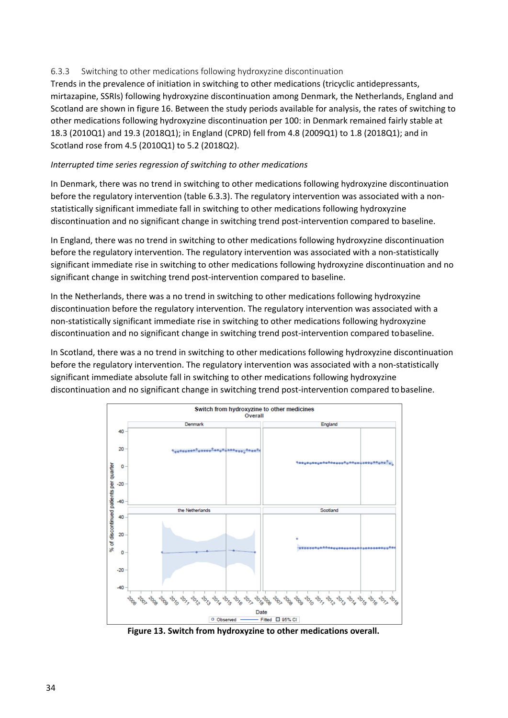#### <span id="page-33-0"></span>6.3.3 Switching to other medications following hydroxyzine discontinuation

Trends in the prevalence of initiation in switching to other medications (tricyclic antidepressants, mirtazapine, SSRIs) following hydroxyzine discontinuation among Denmark, the Netherlands, England and Scotland are shown in figure 16. Between the study periods available for analysis, the rates of switching to other medications following hydroxyzine discontinuation per 100: in Denmark remained fairly stable at 18.3 (2010Q1) and 19.3 (2018Q1); in England (CPRD) fell from 4.8 (2009Q1) to 1.8 (2018Q1); and in Scotland rose from 4.5 (2010Q1) to 5.2 (2018Q2).

#### *Interrupted time series regression of switching to other medications*

In Denmark, there was no trend in switching to other medications following hydroxyzine discontinuation before the regulatory intervention (table 6.3.3). The regulatory intervention was associated with a nonstatistically significant immediate fall in switching to other medications following hydroxyzine discontinuation and no significant change in switching trend post-intervention compared to baseline.

In England, there was no trend in switching to other medications following hydroxyzine discontinuation before the regulatory intervention. The regulatory intervention was associated with a non-statistically significant immediate rise in switching to other medications following hydroxyzine discontinuation and no significant change in switching trend post-intervention compared to baseline.

In the Netherlands, there was a no trend in switching to other medications following hydroxyzine discontinuation before the regulatory intervention. The regulatory intervention was associated with a non-statistically significant immediate rise in switching to other medications following hydroxyzine discontinuation and no significant change in switching trend post-intervention compared tobaseline.

In Scotland, there was a no trend in switching to other medications following hydroxyzine discontinuation before the regulatory intervention. The regulatory intervention was associated with a non-statistically significant immediate absolute fall in switching to other medications following hydroxyzine discontinuation and no significant change in switching trend post-intervention compared tobaseline.



**Figure 13. Switch from hydroxyzine to other medications overall.**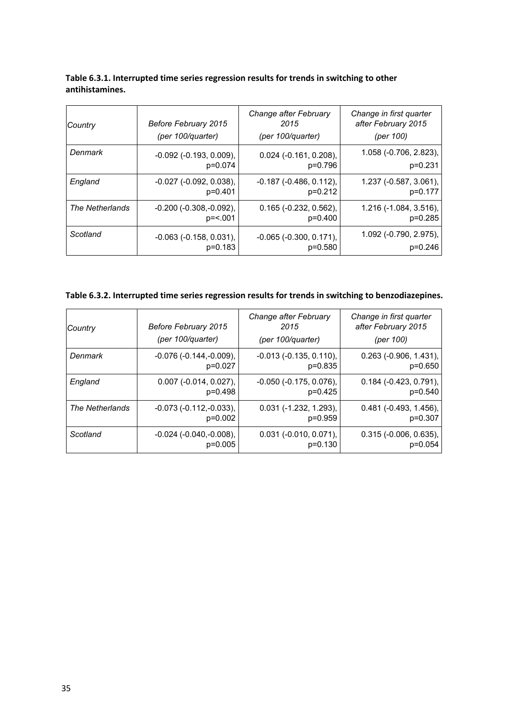| Country         | Before February 2015             | Change after February<br>2015    | Change in first quarter<br>after February 2015 |
|-----------------|----------------------------------|----------------------------------|------------------------------------------------|
|                 | (per 100/quarter)                | (per 100/quarter)                | (per 100)                                      |
| Denmark         | $-0.092$ ( $-0.193$ , $0.009$ ), | $0.024$ (-0.161, 0.208),         | $1.058$ (-0.706, 2.823),                       |
|                 | p=0.074                          | p=0.796                          | $p=0.231$                                      |
| England         | $-0.027$ $(-0.092, 0.038)$ ,     | $-0.187$ $(-0.486, 0.112)$ ,     | 1.237 (-0.587, 3.061),                         |
|                 | $p=0.401$                        | $p=0.212$                        | p=0.177                                        |
| The Netherlands | $-0.200$ $(-0.308,-0.092)$ ,     | $0.165$ (-0.232, 0.562),         | 1.216 (-1.084, 3.516),                         |
|                 | p= <.001                         | $p=0.400$                        | $p=0.285$                                      |
| Scotland        | $-0.063$ $(-0.158, 0.031)$ ,     | $-0.065$ ( $-0.300$ , $0.171$ ), | 1.092 (-0.790, 2.975),                         |
|                 | $p=0.183$                        | $p=0.580$                        | $p=0.246$                                      |

#### **Table 6.3.1. Interrupted time series regression results for trends in switching to other antihistamines.**

### **Table 6.3.2. Interrupted time series regression results for trends in switching to benzodiazepines.**

| Country         | Before February 2015<br>(per 100/quarter) | Change after February<br>2015<br>(per 100/quarter) | Change in first quarter<br>after February 2015<br>(per 100) |
|-----------------|-------------------------------------------|----------------------------------------------------|-------------------------------------------------------------|
| Denmark         | $-0.076(-0.144,-0.009),$                  | $-0.013$ $(-0.135, 0.110)$ ,                       | $0.263$ (-0.906, 1.431),                                    |
|                 | $p=0.027$                                 | $p=0.835$                                          | $p=0.650$                                                   |
| England         | $0.007$ (-0.014, 0.027),                  | $-0.050$ $(-0.175, 0.076)$ ,                       | $0.184$ ( $-0.423$ , $0.791$ ),                             |
|                 | $p=0.498$                                 | $p=0.425$                                          | $p=0.540$                                                   |
| The Netherlands | $-0.073$ ( $-0.112$ , $-0.033$ ),         | $0.031$ (-1.232, 1.293),                           | $0.481$ ( $-0.493$ , 1.456),                                |
|                 | $p=0.002$                                 | $p=0.959$                                          | $p=0.307$                                                   |
| Scotland        | $-0.024$ ( $-0.040, -0.008$ ),            | $0.031$ (-0.010, 0.071),                           | $0.315$ (-0.006, 0.635),                                    |
|                 | $p=0.005$                                 | $p=0.130$                                          | $p=0.054$                                                   |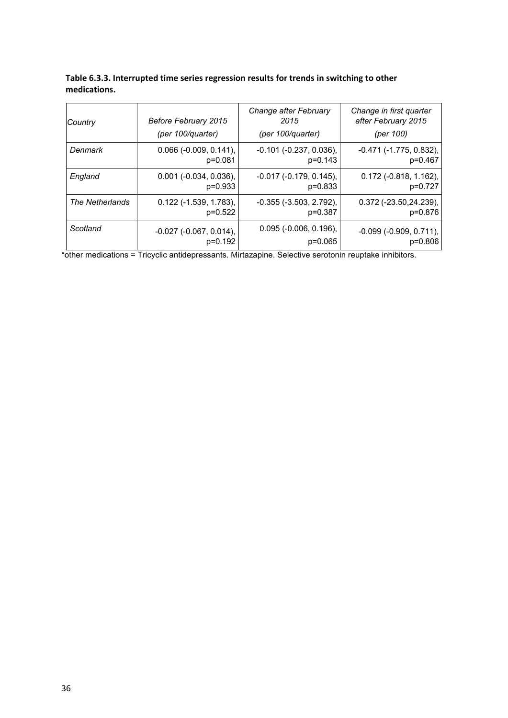| Table 6.3.3. Interrupted time series regression results for trends in switching to other |
|------------------------------------------------------------------------------------------|
| medications.                                                                             |

| Country         | Before February 2015<br>(per 100/quarter) | Change after February<br>2015<br>(per 100/quarter) | Change in first quarter<br>after February 2015<br>(per 100) |
|-----------------|-------------------------------------------|----------------------------------------------------|-------------------------------------------------------------|
| Denmark         | $0.066$ (-0.009, 0.141),                  | $-0.101$ $(-0.237, 0.036)$ ,                       | $-0.471$ ( $-1.775$ , $0.832$ ),                            |
|                 | $p=0.081$                                 | $p=0.143$                                          | p=0.467                                                     |
| England         | $0.001$ ( $-0.034$ , $0.036$ ),           | $-0.017$ $(-0.179, 0.145)$ ,                       | $0.172$ (-0.818, 1.162),                                    |
|                 | $p=0.933$                                 | $p=0.833$                                          | p=0.727                                                     |
| The Netherlands | $0.122$ (-1.539, 1.783),                  | $-0.355$ $(-3.503, 2.792)$ ,                       | $0.372$ (-23.50,24.239),                                    |
|                 | $p=0.522$                                 | $p=0.387$                                          | p=0.876                                                     |
| Scotland        | $-0.027$ $(-0.067, 0.014)$ ,              | $0.095$ ( $-0.006$ , $0.196$ ),                    | $-0.099$ $(-0.909, 0.711)$ ,                                |
|                 | $p=0.192$                                 | $p=0.065$                                          | $p=0.806$                                                   |

\*other medications = Tricyclic antidepressants. Mirtazapine. Selective serotonin reuptake inhibitors.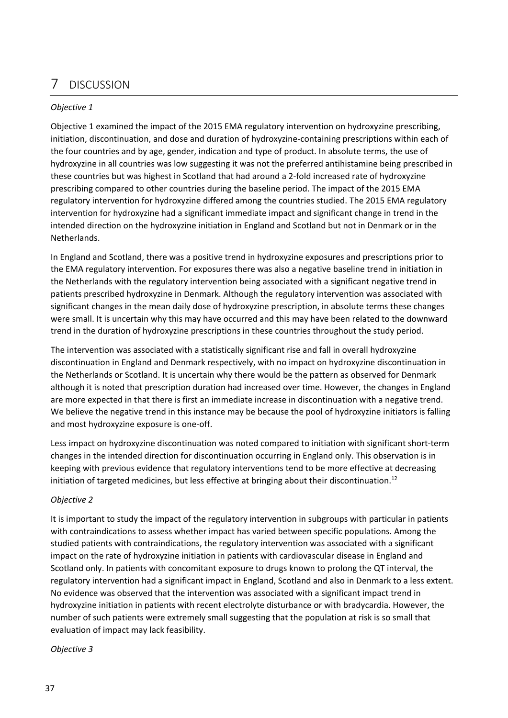## <span id="page-36-0"></span>7 DISCUSSION

#### *Objective 1*

Objective 1 examined the impact of the 2015 EMA regulatory intervention on hydroxyzine prescribing, initiation, discontinuation, and dose and duration of hydroxyzine-containing prescriptions within each of the four countries and by age, gender, indication and type of product. In absolute terms, the use of hydroxyzine in all countries was low suggesting it was not the preferred antihistamine being prescribed in these countries but was highest in Scotland that had around a 2-fold increased rate of hydroxyzine prescribing compared to other countries during the baseline period. The impact of the 2015 EMA regulatory intervention for hydroxyzine differed among the countries studied. The 2015 EMA regulatory intervention for hydroxyzine had a significant immediate impact and significant change in trend in the intended direction on the hydroxyzine initiation in England and Scotland but not in Denmark or in the Netherlands.

In England and Scotland, there was a positive trend in hydroxyzine exposures and prescriptions prior to the EMA regulatory intervention. For exposures there was also a negative baseline trend in initiation in the Netherlands with the regulatory intervention being associated with a significant negative trend in patients prescribed hydroxyzine in Denmark. Although the regulatory intervention was associated with significant changes in the mean daily dose of hydroxyzine prescription, in absolute terms these changes were small. It is uncertain why this may have occurred and this may have been related to the downward trend in the duration of hydroxyzine prescriptions in these countries throughout the study period.

The intervention was associated with a statistically significant rise and fall in overall hydroxyzine discontinuation in England and Denmark respectively, with no impact on hydroxyzine discontinuation in the Netherlands or Scotland. It is uncertain why there would be the pattern as observed for Denmark although it is noted that prescription duration had increased over time. However, the changes in England are more expected in that there is first an immediate increase in discontinuation with a negative trend. We believe the negative trend in this instance may be because the pool of hydroxyzine initiators is falling and most hydroxyzine exposure is one-off.

Less impact on hydroxyzine discontinuation was noted compared to initiation with significant short-term changes in the intended direction for discontinuation occurring in England only. This observation is in keeping with previous evidence that regulatory interventions tend to be more effective at decreasing initiation of targeted medicines, but less effective at bringing about their discontinuation.<sup>12</sup>

#### *Objective 2*

It is important to study the impact of the regulatory intervention in subgroups with particular in patients with contraindications to assess whether impact has varied between specific populations. Among the studied patients with contraindications, the regulatory intervention was associated with a significant impact on the rate of hydroxyzine initiation in patients with cardiovascular disease in England and Scotland only. In patients with concomitant exposure to drugs known to prolong the QT interval, the regulatory intervention had a significant impact in England, Scotland and also in Denmark to a less extent. No evidence was observed that the intervention was associated with a significant impact trend in hydroxyzine initiation in patients with recent electrolyte disturbance or with bradycardia. However, the number of such patients were extremely small suggesting that the population at risk is so small that evaluation of impact may lack feasibility.

*Objective 3*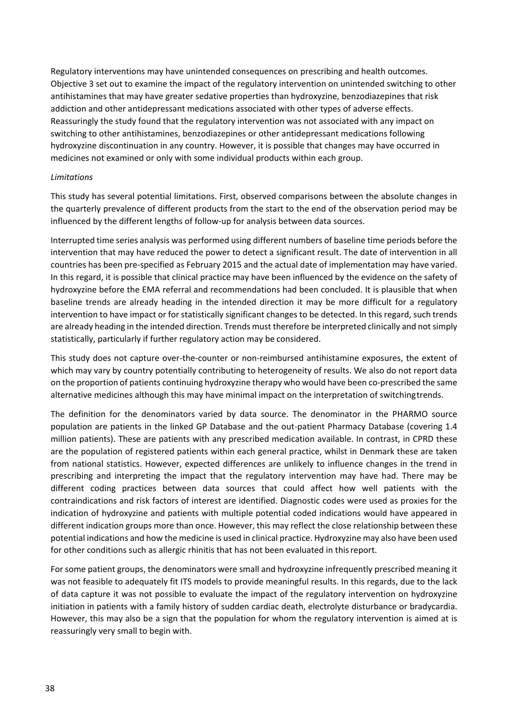Regulatory interventions may have unintended consequences on prescribing and health outcomes. Objective 3 set out to examine the impact of the regulatory intervention on unintended switching to other antihistamines that may have greater sedative properties than hydroxyzine, benzodiazepines that risk addiction and other antidepressant medications associated with other types of adverse effects. Reassuringly the study found that the regulatory intervention was not associated with any impact on switching to other antihistamines, benzodiazepines or other antidepressant medications following hydroxyzine discontinuation in any country. However, it is possible that changes may have occurred in medicines not examined or only with some individual products within each group.

#### *Limitations*

This study has several potential limitations. First, observed comparisons between the absolute changes in the quarterly prevalence of different products from the start to the end of the observation period may be influenced by the different lengths of follow-up for analysis between data sources.

Interrupted time series analysis was performed using different numbers of baseline time periods before the intervention that may have reduced the power to detect a significant result. The date of intervention in all countries has been pre-specified as February 2015 and the actual date of implementation may have varied. In this regard, it is possible that clinical practice may have been influenced by the evidence on the safety of hydroxyzine before the EMA referral and recommendations had been concluded. It is plausible that when baseline trends are already heading in the intended direction it may be more difficult for a regulatory intervention to have impact or for statistically significant changes to be detected. In this regard, such trends are already heading in the intended direction. Trends must therefore be interpreted clinically and not simply statistically, particularly if further regulatory action may be considered.

This study does not capture over-the-counter or non-reimbursed antihistamine exposures, the extent of which may vary by country potentially contributing to heterogeneity of results. We also do not report data on the proportion of patients continuing hydroxyzine therapy who would have been co-prescribed the same alternative medicines although this may have minimal impact on the interpretation of switchingtrends.

The definition for the denominators varied by data source. The denominator in the PHARMO source population are patients in the linked GP Database and the out-patient Pharmacy Database (covering 1.4 million patients). These are patients with any prescribed medication available. In contrast, in CPRD these are the population of registered patients within each general practice, whilst in Denmark these are taken from national statistics. However, expected differences are unlikely to influence changes in the trend in prescribing and interpreting the impact that the regulatory intervention may have had. There may be different coding practices between data sources that could affect how well patients with the contraindications and risk factors of interest are identified. Diagnostic codes were used as proxies for the indication of hydroxyzine and patients with multiple potential coded indications would have appeared in different indication groups more than once. However, this may reflect the close relationship between these potential indications and how the medicine is used in clinical practice. Hydroxyzine may also have been used for other conditions such as allergic rhinitis that has not been evaluated in thisreport.

For some patient groups, the denominators were small and hydroxyzine infrequently prescribed meaning it was not feasible to adequately fit ITS models to provide meaningful results. In this regards, due to the lack of data capture it was not possible to evaluate the impact of the regulatory intervention on hydroxyzine initiation in patients with a family history of sudden cardiac death, electrolyte disturbance or bradycardia. However, this may also be a sign that the population for whom the regulatory intervention is aimed at is reassuringly very small to begin with.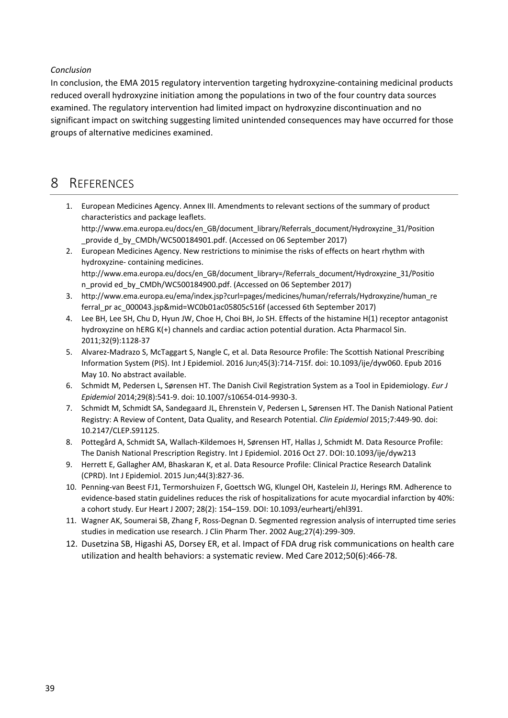#### *Conclusion*

In conclusion, the EMA 2015 regulatory intervention targeting hydroxyzine-containing medicinal products reduced overall hydroxyzine initiation among the populations in two of the four country data sources examined. The regulatory intervention had limited impact on hydroxyzine discontinuation and no significant impact on switching suggesting limited unintended consequences may have occurred for those groups of alternative medicines examined.

### <span id="page-38-0"></span>8 REFERENCES

- 1. European Medicines Agency. Annex III. Amendments to relevant sections of the summary of product characteristics and package leaflet[s.](http://www.ema.europa.eu/docs/en_GB/document_library/Referrals_document/Hydroxyzine_31/Position) [http://www.ema.europa.eu/docs/en\\_GB/document\\_library/Referrals\\_document/Hydroxyzine\\_31/Position](http://www.ema.europa.eu/docs/en_GB/document_library/Referrals_document/Hydroxyzine_31/Position) provide d\_by\_CMDh/WC500184901.pdf. (Accessed on 06 September 2017)
- 2. European Medicines Agency. New restrictions to minimise the risks of effects on heart rhythm with hydroxyzine- containing medicine[s.](http://www.ema.europa.eu/docs/en_GB/document_library%3D/Referrals_document/Hydroxyzine_31/Positio) [http://www.ema.europa.eu/docs/en\\_GB/document\\_library=/Referrals\\_document/Hydroxyzine\\_31/Positio](http://www.ema.europa.eu/docs/en_GB/document_library%3D/Referrals_document/Hydroxyzine_31/Positio) n\_provid ed\_by\_CMDh/WC500184900.pdf. (Accessed on 06 September 2017)
- 3. http://www.ema.europa.eu/ema/index.jsp?curl=pages/medicines/human/referrals/Hydroxyzine/human\_re ferral\_pr ac\_000043.jsp&mid=WC0b01ac05805c516f (accessed 6th September 2017)
- 4. Lee BH, Lee SH, Chu D, Hyun JW, Choe H, Choi BH, Jo SH. Effects of the histamine H(1) receptor antagonist hydroxyzine on hERG K(+) channels and cardiac action potential duration. Acta Pharmacol Sin. 2011;32(9):1128-37
- 5. Alvarez-Madrazo S, McTaggart S, Nangle C, et al. Data Resource Profile: The Scottish National Prescribing Information System (PIS). Int J Epidemiol. 2016 Jun;45(3):714-715f. doi: 10.1093/ije/dyw060. Epub 2016 May 10. No abstract available.
- 6. Schmidt M, Pedersen L, Sørensen HT. The Danish Civil Registration System as a Tool in Epidemiology. *Eur J Epidemiol* 2014;29(8):541-9. doi: 10.1007/s10654-014-9930-3.
- 7. Schmidt M, Schmidt SA, Sandegaard JL, Ehrenstein V, Pedersen L, Sørensen HT. The Danish National Patient Registry: A Review of Content, Data Quality, and Research Potential. *Clin Epidemiol* 2015;7:449-90. doi: 10.2147/CLEP.S91125.
- 8. Pottegård A, Schmidt SA, Wallach-Kildemoes H, Sørensen HT, Hallas J, Schmidt M. Data Resource Profile: The Danish National Prescription Registry. Int J Epidemiol. 2016 Oct 27. DOI:10.1093/ije/dyw213
- 9. Herrett E, Gallagher AM, Bhaskaran K, et al. Data Resource Profile: Clinical Practice Research Datalink (CPRD). Int J Epidemiol. 2015 Jun;44(3):827-36.
- 10. Penning-van Beest FJ1, Termorshuizen F, Goettsch WG, Klungel OH, Kastelein JJ, Herings RM. Adherence to evidence-based statin guidelines reduces the risk of hospitalizations for acute myocardial infarction by 40%: a cohort study. Eur Heart J 2007; 28(2): 154–159. DOI: 10.1093/eurheartj/ehl391.
- 11. Wagner AK, Soumerai SB, Zhang F, Ross-Degnan D. Segmented regression analysis of interrupted time series studies in medication use research. J Clin Pharm Ther. 2002 Aug;27(4):299-309.
- 12. Dusetzina SB, Higashi AS, Dorsey ER, et al. Impact of FDA drug risk communications on health care utilization and health behaviors: a systematic review. Med Care 2012;50(6):466-78.